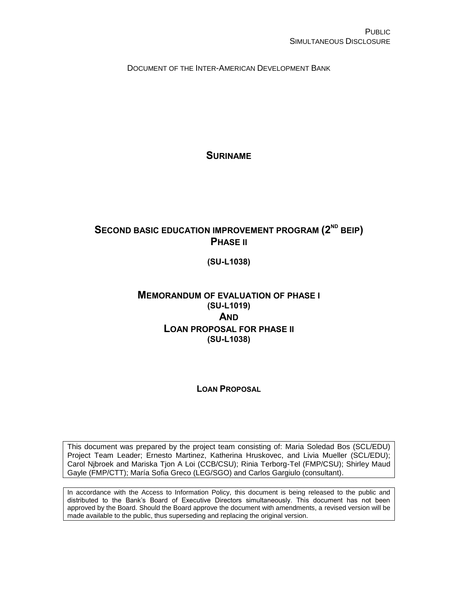DOCUMENT OF THE INTER-AMERICAN DEVELOPMENT BANK

**SURINAME**

# **SECOND BASIC EDUCATION IMPROVEMENT PROGRAM (2<sup>ND</sup> BEIP) PHASE II**

**(SU-L1038)**

# **MEMORANDUM OF EVALUATION OF PHASE I (SU-L1019) AND LOAN PROPOSAL FOR PHASE II (SU-L1038)**

# **LOAN PROPOSAL**

This document was prepared by the project team consisting of: Maria Soledad Bos (SCL/EDU) Project Team Leader; Ernesto Martinez, Katherina Hruskovec, and Livia Mueller (SCL/EDU); Carol Njbroek and Mariska Tjon A Loi (CCB/CSU); Rinia Terborg-Tel (FMP/CSU); Shirley Maud Gayle (FMP/CTT); María Sofia Greco (LEG/SGO) and Carlos Gargiulo (consultant).

In accordance with the Access to Information Policy, this document is being released to the public and distributed to the Bank's Board of Executive Directors simultaneously. This document has not been approved by the Board. Should the Board approve the document with amendments, a revised version will be made available to the public, thus superseding and replacing the original version.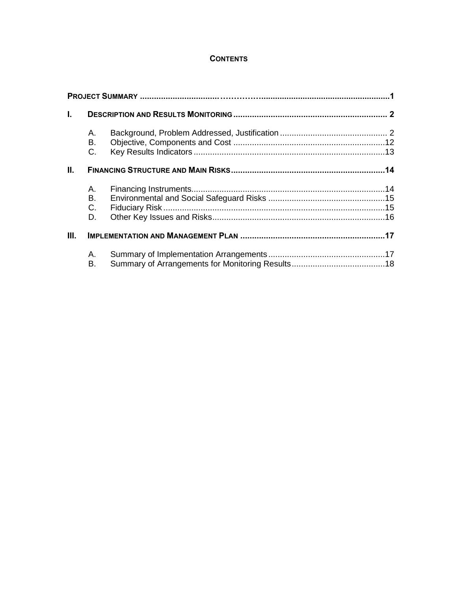# **CONTENTS**

| I.   |          |  |
|------|----------|--|
|      | Α.       |  |
|      | В.       |  |
|      | C.       |  |
| Ш.   |          |  |
|      | Α.       |  |
|      | В.       |  |
|      | C.       |  |
|      | D.       |  |
| III. |          |  |
|      | Α.<br>Β. |  |
|      |          |  |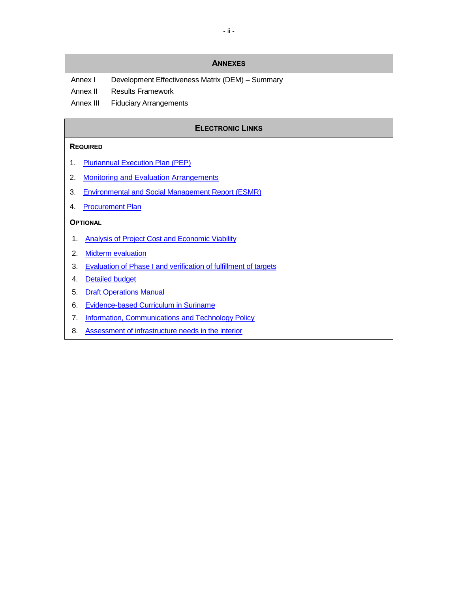Annex I Development Effectiveness Matrix (DEM) - Summary Annex II Results Framework Annex III Fiduciary Arrangements

# **ELECTRONIC LINKS**

#### **REQUIRED**

- 1. [Pluriannual Execution Plan \(PEP\)](http://idbdocs.iadb.org/wsdocs/getDocument.aspx?DOCNUM=39870227)
- 2. [Monitoring and Evaluation Arrangements](http://idbdocs.iadb.org/wsdocs/getDocument.aspx?DOCNUM=39870282)
- 3. [Environmental and Social Management Report \(ESMR\)](http://idbdocs.iadb.org/wsdocs/getDocument.aspx?DOCNUM=39883953)
- 4. [Procurement Plan](http://idbdocs.iadb.org/wsdocs/getDocument.aspx?DOCNUM=39883939)

#### **OPTIONAL**

- 1. [Analysis of Project Cost and Economic Viability](http://idbdocs.iadb.org/wsdocs/getDocument.aspx?DOCNUM=39870306)
- 2. [Midterm evaluation](http://idbdocs.iadb.org/wsdocs/getDocument.aspx?DOCNUM=39358692)
- 3. [Evaluation of Phase I and verification of fulfillment of targets](http://idbdocs.iadb.org/wsdocs/getDocument.aspx?DOCNUM=39912851)
- 4. [Detailed budget](http://idbdocs.iadb.org/wsdocs/getDocument.aspx?DOCNUM=39912848)
- 5. [Draft Operations Manual](http://idbdocs.iadb.org/wsdocs/getDocument.aspx?DOCNUM=39924530)
- 6. [Evidence-based Curriculum in Suriname](http://idbdocs.iadb.org/wsdocs/getDocument.aspx?DOCNUM=39864670)
- 7. [Information, Communications and Technology Policy](http://idbdocs.iadb.org/wsdocs/getDocument.aspx?DOCNUM=39870991)
- 8. [Assessment of infrastructure needs in the interior](http://idbdocs.iadb.org/wsdocs/getDocument.aspx?DOCNUM=39863989)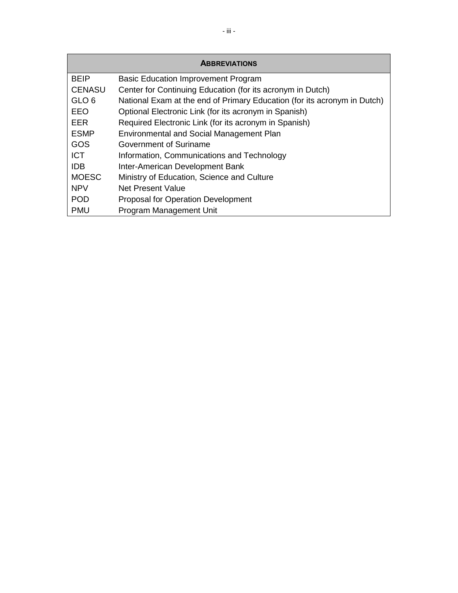| <b>ABBREVIATIONS</b> |                                                                          |  |  |  |  |  |  |  |
|----------------------|--------------------------------------------------------------------------|--|--|--|--|--|--|--|
| <b>BEIP</b>          | <b>Basic Education Improvement Program</b>                               |  |  |  |  |  |  |  |
| <b>CENASU</b>        | Center for Continuing Education (for its acronym in Dutch)               |  |  |  |  |  |  |  |
| GLO <sub>6</sub>     | National Exam at the end of Primary Education (for its acronym in Dutch) |  |  |  |  |  |  |  |
| EEO                  | Optional Electronic Link (for its acronym in Spanish)                    |  |  |  |  |  |  |  |
| EER                  | Required Electronic Link (for its acronym in Spanish)                    |  |  |  |  |  |  |  |
| <b>ESMP</b>          | <b>Environmental and Social Management Plan</b>                          |  |  |  |  |  |  |  |
| GOS                  | Government of Suriname                                                   |  |  |  |  |  |  |  |
| ICT.                 | Information, Communications and Technology                               |  |  |  |  |  |  |  |
| IDB.                 | Inter-American Development Bank                                          |  |  |  |  |  |  |  |
| <b>MOESC</b>         | Ministry of Education, Science and Culture                               |  |  |  |  |  |  |  |
| <b>NPV</b>           | Net Present Value                                                        |  |  |  |  |  |  |  |
| <b>POD</b>           | <b>Proposal for Operation Development</b>                                |  |  |  |  |  |  |  |
| <b>PMU</b>           | Program Management Unit                                                  |  |  |  |  |  |  |  |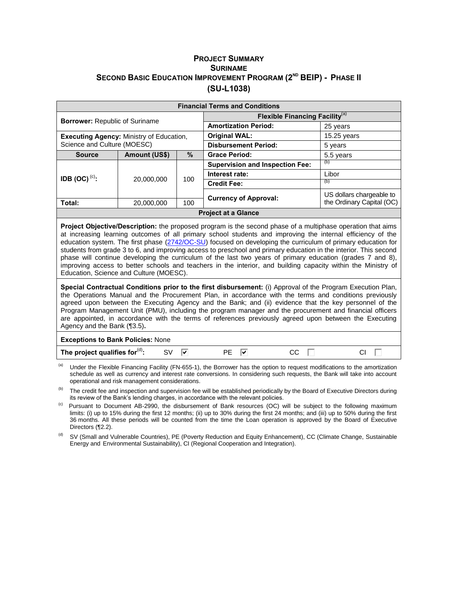#### **PROJECT SUMMARY SURINAME SECOND BASIC EDUCATION IMPROVEMENT PROGRAM (2ND BEIP) - PHASE II (SU-L1038)**

| <b>Financial Terms and Conditions</b>           |               |                              |                                                   |                          |  |  |  |  |  |
|-------------------------------------------------|---------------|------------------------------|---------------------------------------------------|--------------------------|--|--|--|--|--|
|                                                 |               |                              | <b>Flexible Financing Facility</b> <sup>(a)</sup> |                          |  |  |  |  |  |
| <b>Borrower: Republic of Suriname</b>           |               |                              | <b>Amortization Period:</b>                       | 25 years                 |  |  |  |  |  |
| <b>Executing Agency: Ministry of Education,</b> |               |                              | <b>Original WAL:</b>                              | 15.25 years              |  |  |  |  |  |
| Science and Culture (MOESC)                     |               |                              | <b>Disbursement Period:</b>                       | 5 years                  |  |  |  |  |  |
| <b>Source</b>                                   | Amount (US\$) | %                            | <b>Grace Period:</b>                              | 5.5 years                |  |  |  |  |  |
|                                                 |               | 100                          | <b>Supervision and Inspection Fee:</b>            | (b)                      |  |  |  |  |  |
| IDB (OC) <sup>(c)</sup> :                       | 20,000,000    |                              | Interest rate:                                    | Libor                    |  |  |  |  |  |
|                                                 |               |                              | <b>Credit Fee:</b>                                | (b)                      |  |  |  |  |  |
|                                                 |               |                              |                                                   | US dollars chargeable to |  |  |  |  |  |
| Total:<br>100<br>20,000,000                     |               | <b>Currency of Approval:</b> | the Ordinary Capital (OC)                         |                          |  |  |  |  |  |
| <b>Project at a Glance</b>                      |               |                              |                                                   |                          |  |  |  |  |  |

**Project Objective/Description:** the proposed program is the second phase of a multiphase operation that aims at increasing learning outcomes of all primary school students and improving the internal efficiency of the education system. The first phase [\(2742/OC-SU\)](http://www.iadb.org/en/projects/project-description-title,1303.html?id=SU-L1019) focused on developing the curriculum of primary education for students from grade 3 to 6, and improving access to preschool and primary education in the interior. This second phase will continue developing the curriculum of the last two years of primary education (grades 7 and 8), improving access to better schools and teachers in the interior, and building capacity within the Ministry of Education, Science and Culture (MOESC).

**Special Contractual Conditions prior to the first disbursement:** (i) Approval of the Program Execution Plan, the Operations Manual and the Procurement Plan, in accordance with the terms and conditions previously agreed upon between the Executing Agency and the Bank; and (ii) evidence that the key personnel of the Program Management Unit (PMU), including the program manager and the procurement and financial officers are appointed, in accordance with the terms of references previously agreed upon between the Executing Agency and the Bank ([¶3.5\)](#page-21-0)**.** 

#### **Exceptions to Bank Policies:** None The project qualifies for $<sup>(d)</sup>$ :</sup> : SV Ø PE Ø CC D CI

Under the Flexible Financing Facility (FN-655-1), the Borrower has the option to request modifications to the amortization schedule as well as currency and interest rate conversions. In considering such requests, the Bank will take into account operational and risk management considerations.

The credit fee and inspection and supervision fee will be established periodically by the Board of Executive Directors during its review of the Bank's lending charges, in accordance with the relevant policies.

- <sup>(c)</sup> Pursuant to Document AB-2990, the disbursement of Bank resources (OC) will be subject to the following maximum limits: (i) up to 15% during the first 12 months; (ii) up to 30% during the first 24 months; and (iii) up to 50% during the first 36 months. All these periods will be counted from the time the Loan operation is approved by the Board of Executive Directors ([¶2.2\)](#page-17-0).
- SV (Small and Vulnerable Countries), PE (Poverty Reduction and Equity Enhancement), CC (Climate Change, Sustainable Energy and Environmental Sustainability), CI (Regional Cooperation and Integration).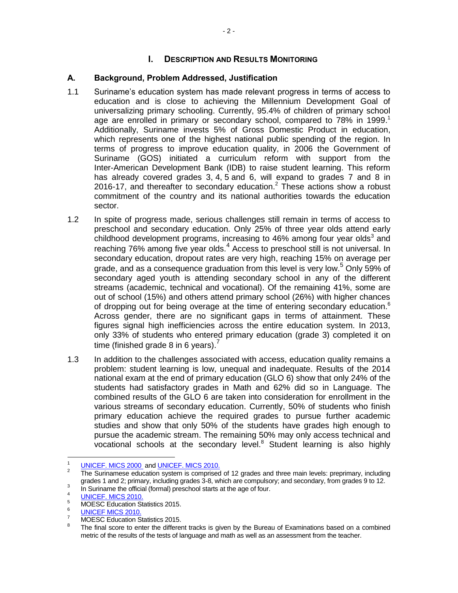# **I. DESCRIPTION AND RESULTS MONITORING**

### **A. Background, Problem Addressed, Justification**

- 1.1 Suriname's education system has made relevant progress in terms of access to education and is close to achieving the Millennium Development Goal of universalizing primary schooling. Currently, 95.4% of children of primary school age are enrolled in primary or secondary school, compared to 78% in 1999.<sup>1</sup> Additionally, Suriname invests 5% of Gross Domestic Product in education, which represents one of the highest national public spending of the region. In terms of progress to improve education quality, in 2006 the Government of Suriname (GOS) initiated a curriculum reform with support from the Inter-American Development Bank (IDB) to raise student learning. This reform has already covered grades 3, 4, 5 and 6, will expand to grades 7 and 8 in 2016-17, and thereafter to secondary education.<sup>2</sup> These actions show a robust commitment of the country and its national authorities towards the education sector.
- 1.2 In spite of progress made, serious challenges still remain in terms of access to preschool and secondary education. Only 25% of three year olds attend early childhood development programs, increasing to 46% among four year olds<sup>3</sup> and reaching 76% among five year olds. $4$  Access to preschool still is not universal. In secondary education, dropout rates are very high, reaching 15% on average per grade, and as a consequence graduation from this level is very low.<sup>5</sup> Only 59% of secondary aged youth is attending secondary school in any of the different streams (academic, technical and vocational). Of the remaining 41%, some are out of school (15%) and others attend primary school (26%) with higher chances of dropping out for being overage at the time of entering secondary education.<sup>6</sup> Across gender, there are no significant gaps in terms of attainment. These figures signal high inefficiencies across the entire education system. In 2013, only 33% of students who entered primary education (grade 3) completed it on time (finished grade 8 in 6 years).<sup>7</sup>
- 1.3 In addition to the challenges associated with access, education quality remains a problem: student learning is low, unequal and inadequate. Results of the 2014 national exam at the end of primary education (GLO 6) show that only 24% of the students had satisfactory grades in Math and 62% did so in Language. The combined results of the GLO 6 are taken into consideration for enrollment in the various streams of secondary education. Currently, 50% of students who finish primary education achieve the required grades to pursue further academic studies and show that only 50% of the students have grades high enough to pursue the academic stream. The remaining 50% may only access technical and vocational schools at the secondary level.<sup>8</sup> Student learning is also highly

 $\frac{1}{1}$ [UNICEF. MICS 2000 a](http://idbdocs.iadb.org/wsdocs/getDocument.aspx?DOCNUM=39857447)n[d UNICEF. MICS 2010.](http://idbdocs.iadb.org/wsdocs/getDocument.aspx?DOCNUM=39857356)

<sup>2</sup> The Surinamese education system is comprised of 12 grades and three main levels: preprimary, including grades 1 and 2; primary, including grades 3-8, which are compulsory; and secondary, from grades 9 to 12. 3

In Suriname the official (formal) preschool starts at the age of four.

<sup>4</sup> [UNICEF. MICS 2010.](http://idbdocs.iadb.org/wsdocs/getDocument.aspx?DOCNUM=39857356)  5

MOESC Education Statistics 2015.

<sup>6</sup> [UNICEF MICS 2010.](http://idbdocs.iadb.org/wsdocs/getDocument.aspx?DOCNUM=39857356) 

<sup>7</sup> MOESC Education Statistics 2015.

<sup>8</sup> The final score to enter the different tracks is given by the Bureau of Examinations based on a combined metric of the results of the tests of language and math as well as an assessment from the teacher.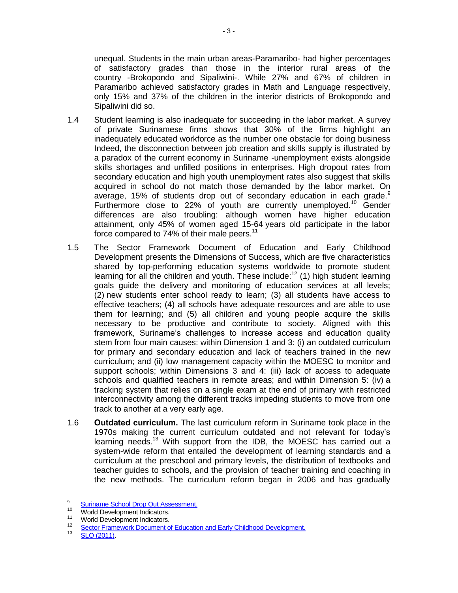unequal. Students in the main urban areas-Paramaribo- had higher percentages of satisfactory grades than those in the interior rural areas of the country -Brokopondo and Sipaliwini-. While 27% and 67% of children in Paramaribo achieved satisfactory grades in Math and Language respectively, only 15% and 37% of the children in the interior districts of Brokopondo and Sipaliwini did so.

- <span id="page-6-0"></span>1.4 Student learning is also inadequate for succeeding in the labor market. A survey of private Surinamese firms shows that 30% of the firms highlight an inadequately educated workforce as the number one obstacle for doing business Indeed, the disconnection between job creation and skills supply is illustrated by a paradox of the current economy in Suriname -unemployment exists alongside skills shortages and unfilled positions in enterprises. High dropout rates from secondary education and high youth unemployment rates also suggest that skills acquired in school do not match those demanded by the labor market. On average, 15% of students drop out of secondary education in each grade. $9$ Furthermore close to 22% of youth are currently unemployed.<sup>10</sup> Gender differences are also troubling: although women have higher education attainment, only 45% of women aged 15-64 years old participate in the labor force compared to 74% of their male peers.<sup>11</sup>
- <span id="page-6-1"></span>1.5 The Sector Framework Document of Education and Early Childhood Development presents the Dimensions of Success, which are five characteristics shared by top-performing education systems worldwide to promote student learning for all the children and youth. These include: $12$  (1) high student learning goals guide the delivery and monitoring of education services at all levels; (2) new students enter school ready to learn; (3) all students have access to effective teachers; (4) all schools have adequate resources and are able to use them for learning; and (5) all children and young people acquire the skills necessary to be productive and contribute to society. Aligned with this framework, Suriname's challenges to increase access and education quality stem from four main causes: within Dimension 1 and 3: (i) an outdated curriculum for primary and secondary education and lack of teachers trained in the new curriculum; and (ii) low management capacity within the MOESC to monitor and support schools; within Dimensions 3 and 4: (iii) lack of access to adequate schools and qualified teachers in remote areas; and within Dimension 5: (iv) a tracking system that relies on a single exam at the end of primary with restricted interconnectivity among the different tracks impeding students to move from one track to another at a very early age.
- 1.6 **Outdated curriculum.** The last curriculum reform in Suriname took place in the 1970s making the current curriculum outdated and not relevant for today's learning needs.<sup>13</sup> With support from the IDB, the MOESC has carried out a system-wide reform that entailed the development of learning standards and a curriculum at the preschool and primary levels, the distribution of textbooks and teacher guides to schools, and the provision of teacher training and coaching in the new methods. The curriculum reform began in 2006 and has gradually

 $\overline{a}$ 

<sup>9</sup> <sup>9</sup> [Suriname School Drop Out Assessment.](http://idbdocs.iadb.org/wsdocs/getDocument.aspx?DOCNUM=39359024)

<sup>&</sup>lt;sup>10</sup> World Development Indicators.

World Development Indicators.

<sup>12</sup> [Sector Framework Document of Education and Early Childhood Development.](http://idbdocs.iadb.org/wsdocs/getDocument.aspx?DOCNUM=37795301)

<sup>13</sup> [SLO \(2011\).](http://idbdocs.iadb.org/wsdocs/getDocument.aspx?DOCNUM=39864670)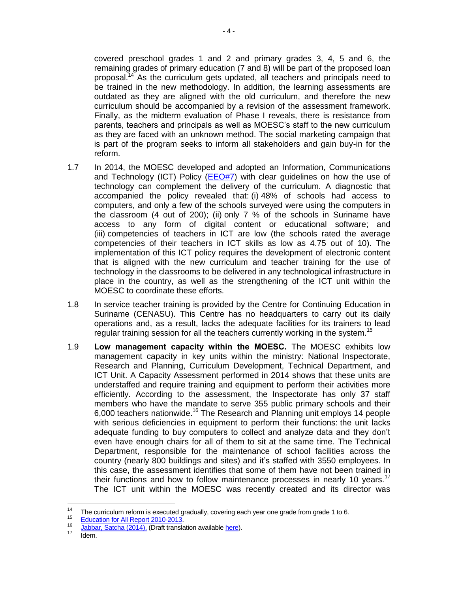covered preschool grades 1 and 2 and primary grades 3, 4, 5 and 6, the remaining grades of primary education (7 and 8) will be part of the proposed loan proposal.<sup>14</sup> As the curriculum gets updated, all teachers and principals need to be trained in the new methodology. In addition, the learning assessments are outdated as they are aligned with the old curriculum, and therefore the new curriculum should be accompanied by a revision of the assessment framework. Finally, as the midterm evaluation of Phase I reveals, there is resistance from parents, teachers and principals as well as MOESC's staff to the new curriculum as they are faced with an unknown method. The social marketing campaign that is part of the program seeks to inform all stakeholders and gain buy-in for the reform.

- 1.7 In 2014, the MOESC developed and adopted an Information, Communications and Technology (ICT) Policy  $(EEO#7)$  with clear guidelines on how the use of technology can complement the delivery of the curriculum. A diagnostic that accompanied the policy revealed that: (i) 48% of schools had access to computers, and only a few of the schools surveyed were using the computers in the classroom (4 out of 200); (ii) only 7 % of the schools in Suriname have access to any form of digital content or educational software; and (iii) competencies of teachers in ICT are low (the schools rated the average competencies of their teachers in ICT skills as low as 4.75 out of 10). The implementation of this ICT policy requires the development of electronic content that is aligned with the new curriculum and teacher training for the use of technology in the classrooms to be delivered in any technological infrastructure in place in the country, as well as the strengthening of the ICT unit within the MOESC to coordinate these efforts.
- 1.8 In service teacher training is provided by the Centre for Continuing Education in Suriname (CENASU). This Centre has no headquarters to carry out its daily operations and, as a result, lacks the adequate facilities for its trainers to lead regular training session for all the teachers currently working in the system.<sup>15</sup>
- 1.9 **Low management capacity within the MOESC.** The MOESC exhibits low management capacity in key units within the ministry: National Inspectorate, Research and Planning, Curriculum Development, Technical Department, and ICT Unit. A Capacity Assessment performed in 2014 shows that these units are understaffed and require training and equipment to perform their activities more efficiently. According to the assessment, the Inspectorate has only 37 staff members who have the mandate to serve 355 public primary schools and their 6,000 teachers nationwide.<sup>16</sup> The Research and Planning unit employs 14 people with serious deficiencies in equipment to perform their functions: the unit lacks adequate funding to buy computers to collect and analyze data and they don't even have enough chairs for all of them to sit at the same time. The Technical Department, responsible for the maintenance of school facilities across the country (nearly 800 buildings and sites) and it's staffed with 3550 employees. In this case, the assessment identifies that some of them have not been trained in their functions and how to follow maintenance processes in nearly 10 years.<sup>17</sup> The ICT unit within the MOESC was recently created and its director was

 $14$ The curriculum reform is executed gradually, covering each year one grade from grade 1 to 6.

<sup>15</sup> [Education for All Report 2010-2013.](http://idbdocs.iadb.org/wsdocs/getDocument.aspx?DOCNUM=39905363) 

<sup>16</sup> <sup>16</sup> [Jabbar, Satcha \(2014\). \(](http://idbdocs.iadb.org/wsdocs/getDocument.aspx?DOCNUM=39864071)Draft translation availabl[e here\)](http://idbdocs.iadb.org/wsdocs/getDocument.aspx?DOCNUM=39907367).

Idem.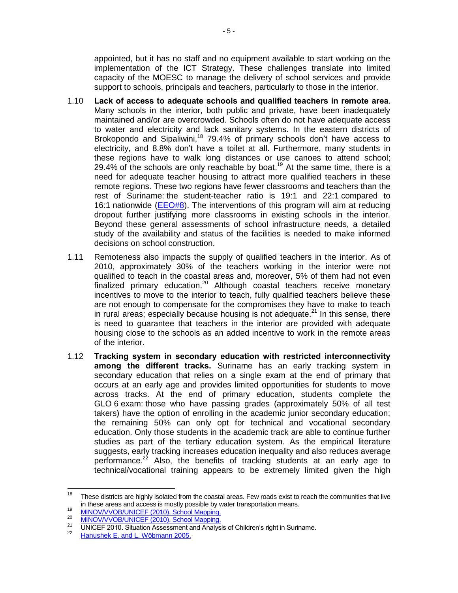appointed, but it has no staff and no equipment available to start working on the implementation of the ICT Strategy. These challenges translate into limited capacity of the MOESC to manage the delivery of school services and provide support to schools, principals and teachers, particularly to those in the interior.

- 1.10 **Lack of access to adequate schools and qualified teachers in remote area.**  Many schools in the interior, both public and private, have been inadequately maintained and/or are overcrowded. Schools often do not have adequate access to water and electricity and lack sanitary systems. In the eastern districts of Brokopondo and Sipaliwini,<sup>18</sup> 79.4% of primary schools don't have access to electricity, and 8.8% don't have a toilet at all. Furthermore, many students in these regions have to walk long distances or use canoes to attend school; 29.4% of the schools are only reachable by boat.<sup>19</sup> At the same time, there is a need for adequate teacher housing to attract more qualified teachers in these remote regions. These two regions have fewer classrooms and teachers than the rest of Suriname: the student-teacher ratio is 19:1 and 22:1 compared to 16:1 nationwide [\(EEO#8\)](http://idbdocs.iadb.org/wsdocs/getDocument.aspx?DOCNUM=39863989). The interventions of this program will aim at reducing dropout further justifying more classrooms in existing schools in the interior. Beyond these general assessments of school infrastructure needs, a detailed study of the availability and status of the facilities is needed to make informed decisions on school construction.
- 1.11 Remoteness also impacts the supply of qualified teachers in the interior. As of 2010, approximately 30% of the teachers working in the interior were not qualified to teach in the coastal areas and, moreover, 5% of them had not even finalized primary education.<sup>20</sup> Although coastal teachers receive monetary incentives to move to the interior to teach, fully qualified teachers believe these are not enough to compensate for the compromises they have to make to teach in rural areas; especially because housing is not adequate.<sup>21</sup> In this sense, there is need to guarantee that teachers in the interior are provided with adequate housing close to the schools as an added incentive to work in the remote areas of the interior.
- 1.12 **Tracking system in secondary education with restricted interconnectivity among the different tracks.** Suriname has an early tracking system in secondary education that relies on a single exam at the end of primary that occurs at an early age and provides limited opportunities for students to move across tracks. At the end of primary education, students complete the GLO 6 exam: those who have passing grades (approximately 50% of all test takers) have the option of enrolling in the academic junior secondary education; the remaining 50% can only opt for technical and vocational secondary education. Only those students in the academic track are able to continue further studies as part of the tertiary education system. As the empirical literature suggests, early tracking increases education inequality and also reduces average performance. $22$  Also, the benefits of tracking students at an early age to technical/vocational training appears to be extremely limited given the high

<sup>18</sup> These districts are highly isolated from the coastal areas. Few roads exist to reach the communities that live in these areas and access is mostly possible by water transportation means.

<sup>19</sup> [MINOV/VVOB/UNICEF \(2010\). School Mapping.](http://idbdocs.iadb.org/wsdocs/getDocument.aspx?DOCNUM=39864315)

<sup>20</sup> [MINOV/VVOB/UNICEF \(2010\). School Mapping.](http://idbdocs.iadb.org/wsdocs/getDocument.aspx?DOCNUM=39864315)

<sup>21</sup> UNICEF 2010. Situation Assessment and Analysis of Children's right in Suriname. 22

[Hanushek E. and L. Wöbmann 2005.](http://idbdocs.iadb.org/wsdocs/getDocument.aspx?DOCNUM=39871524)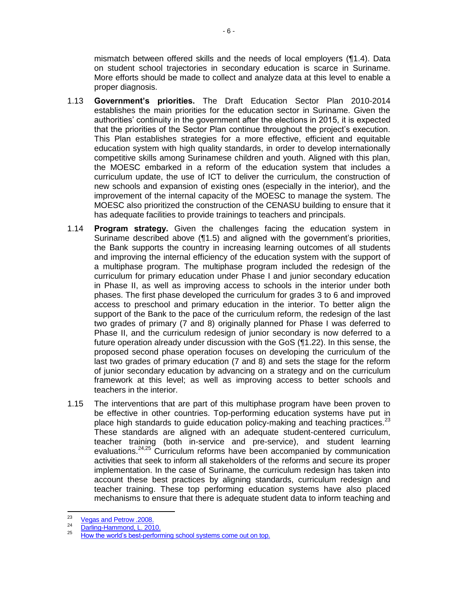mismatch between offered skills and the needs of local employers ([¶1.4\)](#page-6-0). Data on student school trajectories in secondary education is scarce in Suriname. More efforts should be made to collect and analyze data at this level to enable a proper diagnosis.

- 1.13 **Government's priorities.** The Draft Education Sector Plan 2010-2014 establishes the main priorities for the education sector in Suriname. Given the authorities' continuity in the government after the elections in 2015, it is expected that the priorities of the Sector Plan continue throughout the project's execution. This Plan establishes strategies for a more effective, efficient and equitable education system with high quality standards, in order to develop internationally competitive skills among Surinamese children and youth. Aligned with this plan, the MOESC embarked in a reform of the education system that includes a curriculum update, the use of ICT to deliver the curriculum, the construction of new schools and expansion of existing ones (especially in the interior), and the improvement of the internal capacity of the MOESC to manage the system. The MOESC also prioritized the construction of the CENASU building to ensure that it has adequate facilities to provide trainings to teachers and principals.
- 1.14 **Program strategy.** Given the challenges facing the education system in Suriname described above ([¶1.5\)](#page-6-1) and aligned with the government's priorities, the Bank supports the country in increasing learning outcomes of all students and improving the internal efficiency of the education system with the support of a multiphase program. The multiphase program included the redesign of the curriculum for primary education under Phase I and junior secondary education in Phase II, as well as improving access to schools in the interior under both phases. The first phase developed the curriculum for grades 3 to 6 and improved access to preschool and primary education in the interior. To better align the support of the Bank to the pace of the curriculum reform, the redesign of the last two grades of primary (7 and 8) originally planned for Phase I was deferred to Phase II, and the curriculum redesign of junior secondary is now deferred to a future operation already under discussion with the GoS ([¶1.22\)](#page-12-0). In this sense, the proposed second phase operation focuses on developing the curriculum of the last two grades of primary education (7 and 8) and sets the stage for the reform of junior secondary education by advancing on a strategy and on the curriculum framework at this level; as well as improving access to better schools and teachers in the interior.
- 1.15 The interventions that are part of this multiphase program have been proven to be effective in other countries. Top-performing education systems have put in place high standards to guide education policy-making and teaching practices.<sup>23</sup> These standards are aligned with an adequate student-centered curriculum, teacher training (both in-service and pre-service), and student learning evaluations.<sup>24,25</sup> Curriculum reforms have been accompanied by communication activities that seek to inform all stakeholders of the reforms and secure its proper implementation. In the case of Suriname, the curriculum redesign has taken into account these best practices by aligning standards, curriculum redesign and teacher training. These top performing education systems have also placed mechanisms to ensure that there is adequate student data to inform teaching and

<sup>-&</sup>lt;br>23 [Vegas and Petrow .2008.](http://idbdocs.iadb.org/wsdocs/getDocument.aspx?DOCNUM=39864215)

<sup>24</sup> [Darling-Hammond, L. 2010.](http://idbdocs.iadb.org/wsdocs/getDocument.aspx?DOCNUM=39871516)  25

[How the world's best-performing school systems come out on top.](http://www.smhc-cpre.org/wp-content/uploads/2008/07/how-the-worlds-best-performing-school-systems-come-out-on-top-sept-072.pdf)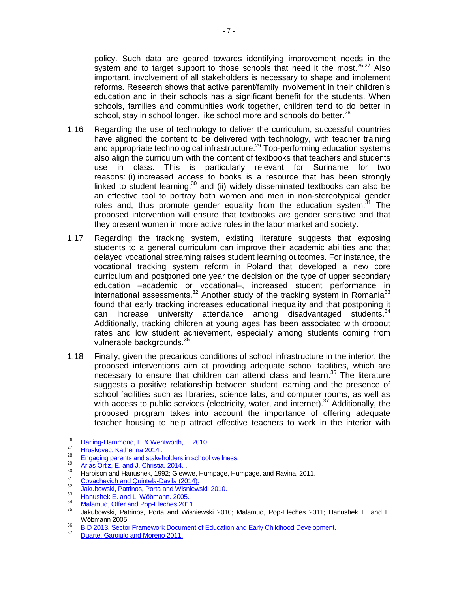policy. Such data are geared towards identifying improvement needs in the system and to target support to those schools that need it the most.<sup>26,27</sup> Also important, involvement of all stakeholders is necessary to shape and implement reforms. Research shows that active parent/family involvement in their children's education and in their schools has a significant benefit for the students. When schools, families and communities work together, children tend to do better in school, stay in school longer, like school more and schools do better.<sup>28</sup>

- 1.16 Regarding the use of technology to deliver the curriculum, successful countries have aligned the content to be delivered with technology, with teacher training and appropriate technological infrastructure.<sup>29</sup> Top-performing education systems also align the curriculum with the content of textbooks that teachers and students use in class. This is particularly relevant for Suriname for two reasons: (i) increased access to books is a resource that has been strongly linked to student learning; $30$  and (ii) widely disseminated textbooks can also be an effective tool to portray both women and men in non-stereotypical gender roles and, thus promote gender equality from the education system.<sup>31</sup> The proposed intervention will ensure that textbooks are gender sensitive and that they present women in more active roles in the labor market and society.
- <span id="page-10-0"></span>1.17 Regarding the tracking system, existing literature suggests that exposing students to a general curriculum can improve their academic abilities and that delayed vocational streaming raises student learning outcomes. For instance, the vocational tracking system reform in Poland that developed a new core curriculum and postponed one year the decision on the type of upper secondary education –academic or vocational–, increased student performance in international assessments.<sup>32</sup> Another study of the tracking system in Romania<sup>33</sup> found that early tracking increases educational inequality and that postponing it can increase university attendance among disadvantaged students.  $34$ Additionally, tracking children at young ages has been associated with dropout rates and low student achievement, especially among students coming from vulnerable backgrounds.<sup>35</sup>
- 1.18 Finally, given the precarious conditions of school infrastructure in the interior, the proposed interventions aim at providing adequate school facilities, which are necessary to ensure that children can attend class and learn.<sup>36</sup> The literature suggests a positive relationship between student learning and the presence of school facilities such as libraries, science labs, and computer rooms, as well as with access to public services (electricity, water, and internet).<sup>37</sup> Additionally, the proposed program takes into account the importance of offering adequate teacher housing to help attract effective teachers to work in the interior with

<sup>-&</sup>lt;br>26 [Darling-Hammond, L. & Wentworth, L. 2010.](http://idbdocs.iadb.org/wsdocs/getDocument.aspx?DOCNUM=39871208)  27

[Hruskovec, Katherina 2014 .](http://idbdocs.iadb.org/wsdocs/getDocument.aspx?DOCNUM=39864587)  28

[Engaging parents and stakeholders in school wellness.](http://www.californiaprojectlean.org/docuserfiles/Parent%20Formative%20Research%20Report.pdf) 29

 $\frac{29}{\text{Arias Ortiz}}$ , E. and J. Christia. 2014.

Harbison and Hanushek, 1992; Glewwe, Humpage, Humpage, and Ravina, 2011.

<sup>31</sup> [Covachevich and Quintela-Davila \(2014\).](https://publications.iadb.org/bitstream/handle/11319/6647/Desigualdad%20de%20g%C3%A9nero,%20el%20curr%C3%ADculo%20oculto%20en%20textos%20escolares%20chilenos.pdf?sequence=1)

<sup>32</sup> [Jakubowski, Patrinos, Porta and Wisniewski .2010.](http://idbdocs.iadb.org/wsdocs/getDocument.aspx?DOCNUM=39859077) 

<sup>33</sup> [Hanushek E. and L. Wöbmann. 2005.](http://idbdocs.iadb.org/wsdocs/getDocument.aspx?DOCNUM=39859059) 

<sup>34</sup> <sup>34</sup> Malamud, Offer and Pop-Eleches 2011.

<sup>35</sup> Jakubowski, Patrinos, Porta and Wisniewski 2010; Malamud, Pop-Eleches 2011; Hanushek E. and L. Wöbmann 2005.

<sup>36</sup> [BID 2013. Sector Framework Document of Education and Early Childhood Development.](http://idbdocs.iadb.org/wsdocs/getDocument.aspx?DOCNUM=37795301) 

<sup>37</sup> [Duarte, Gargiulo and Moreno 2011.](http://idbdocs.iadb.org/wsdocs/getDocument.aspx?DOCNUM=36201660)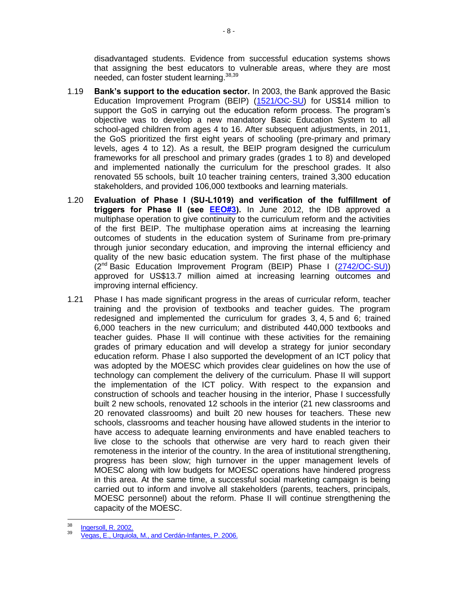disadvantaged students. Evidence from successful education systems shows that assigning the best educators to vulnerable areas, where they are most needed, can foster student learning. 38,39

- <span id="page-11-0"></span>1.19 **Bank's support to the education sector.** In 2003, the Bank approved the Basic Education Improvement Program (BEIP) [\(1521/OC-SU\)](http://idbdocs.iadb.org/wsdocs/getdocument.aspx?docnum=422820) for US\$14 million to support the GoS in carrying out the education reform process. The program's objective was to develop a new mandatory Basic Education System to all school-aged children from ages 4 to 16. After subsequent adjustments, in 2011, the GoS prioritized the first eight years of schooling (pre-primary and primary levels, ages 4 to 12). As a result, the BEIP program designed the curriculum frameworks for all preschool and primary grades (grades 1 to 8) and developed and implemented nationally the curriculum for the preschool grades. It also renovated 55 schools, built 10 teacher training centers, trained 3,300 education stakeholders, and provided 106,000 textbooks and learning materials.
- <span id="page-11-1"></span>1.20 **Evaluation of Phase I (SU-L1019) and verification of the fulfillment of triggers for Phase II (see [EEO#3\)](http://idbdocs.iadb.org/wsdocs/getDocument.aspx?DOCNUM=39912851).** In June 2012, the IDB approved a multiphase operation to give continuity to the curriculum reform and the activities of the first BEIP. The multiphase operation aims at increasing the learning outcomes of students in the education system of Suriname from pre-primary through junior secondary education, and improving the internal efficiency and quality of the new basic education system. The first phase of the multiphase  $(2^{nd}$  Basic Education Improvement Program (BEIP) Phase I  $(2742/OC-SU)$ ) approved for US\$13.7 million aimed at increasing learning outcomes and improving internal efficiency.
- 1.21 Phase I has made significant progress in the areas of curricular reform, teacher training and the provision of textbooks and teacher guides. The program redesigned and implemented the curriculum for grades 3, 4, 5 and 6; trained 6,000 teachers in the new curriculum; and distributed 440,000 textbooks and teacher guides. Phase II will continue with these activities for the remaining grades of primary education and will develop a strategy for junior secondary education reform. Phase I also supported the development of an ICT policy that was adopted by the MOESC which provides clear guidelines on how the use of technology can complement the delivery of the curriculum. Phase II will support the implementation of the ICT policy. With respect to the expansion and construction of schools and teacher housing in the interior, Phase I successfully built 2 new schools, renovated 12 schools in the interior (21 new classrooms and 20 renovated classrooms) and built 20 new houses for teachers. These new schools, classrooms and teacher housing have allowed students in the interior to have access to adequate learning environments and have enabled teachers to live close to the schools that otherwise are very hard to reach given their remoteness in the interior of the country. In the area of institutional strengthening, progress has been slow; high turnover in the upper management levels of MOESC along with low budgets for MOESC operations have hindered progress in this area. At the same time, a successful social marketing campaign is being carried out to inform and involve all stakeholders (parents, teachers, principals, MOESC personnel) about the reform. Phase II will continue strengthening the capacity of the MOESC.

<sup>-&</sup>lt;br>38 [Ingersoll, R. 2002.](http://idbdocs.iadb.org/wsdocs/getDocument.aspx?DOCNUM=39871491)  39

[Vegas, E., Urquiola, M., and Cerdán-Infantes, P. 2006.](http://idbdocs.iadb.org/wsdocs/getDocument.aspx?DOCNUM=39871498)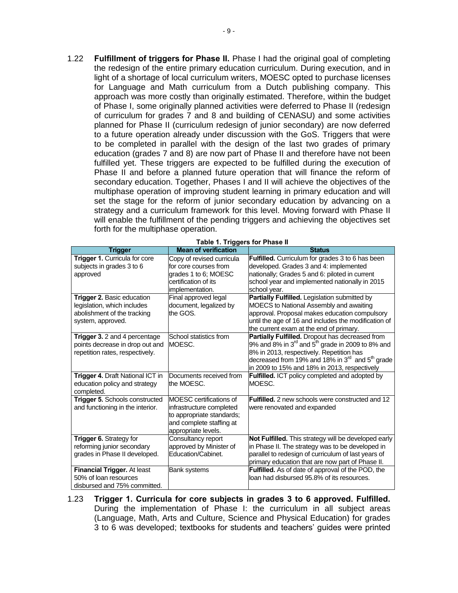<span id="page-12-0"></span>1.22 **Fulfillment of triggers for Phase II.** Phase I had the original goal of completing the redesign of the entire primary education curriculum. During execution, and in light of a shortage of local curriculum writers, MOESC opted to purchase licenses for Language and Math curriculum from a Dutch publishing company. This approach was more costly than originally estimated. Therefore, within the budget of Phase I, some originally planned activities were deferred to Phase II (redesign of curriculum for grades 7 and 8 and building of CENASU) and some activities planned for Phase II (curriculum redesign of junior secondary) are now deferred to a future operation already under discussion with the GoS. Triggers that were to be completed in parallel with the design of the last two grades of primary education (grades 7 and 8) are now part of Phase II and therefore have not been fulfilled yet. These triggers are expected to be fulfilled during the execution of Phase II and before a planned future operation that will finance the reform of secondary education. Together, Phases I and II will achieve the objectives of the multiphase operation of improving student learning in primary education and will set the stage for the reform of junior secondary education by advancing on a strategy and a curriculum framework for this level. Moving forward with Phase II will enable the fulfillment of the pending triggers and achieving the objectives set forth for the multiphase operation.

| <b>Trigger</b>                     | <b>Mean of verification</b> | <b>Status</b>                                                           |
|------------------------------------|-----------------------------|-------------------------------------------------------------------------|
| Trigger 1. Curricula for core      | Copy of revised curricula   | Fulfilled. Curriculum for grades 3 to 6 has been                        |
| subjects in grades 3 to 6          | for core courses from       | developed. Grades 3 and 4: implemented                                  |
| approved                           | grades 1 to 6; MOESC        | nationally; Grades 5 and 6: piloted in current                          |
|                                    | certification of its        | school year and implemented nationally in 2015                          |
|                                    | implementation.             | school year.                                                            |
| Trigger 2. Basic education         | Final approved legal        | <b>Partially Fulfilled.</b> Legislation submitted by                    |
| legislation, which includes        | document, legalized by      | MOECS to National Assembly and awaiting                                 |
| abolishment of the tracking        | the GOS.                    | approval. Proposal makes education compulsory                           |
| system, approved.                  |                             | until the age of 16 and includes the modification of                    |
|                                    |                             | the current exam at the end of primary.                                 |
| Trigger 3. 2 and 4 percentage      | School statistics from      | Partially Fulfilled. Dropout has decreased from                         |
| points decrease in drop out and    | MOESC.                      | 9% and 8% in 3 $^{rd}$ and 5 $^{th}$ grade in 2009 to 8% and            |
| repetition rates, respectively.    |                             | 8% in 2013, respectively. Repetition has                                |
|                                    |                             | decreased from 19% and 18% in $3^{\text{rd}}$ and $5^{\text{th}}$ grade |
|                                    |                             | in 2009 to 15% and 18% in 2013, respectively                            |
| Trigger 4. Draft National ICT in   | Documents received from     | Fulfilled. ICT policy completed and adopted by                          |
| education policy and strategy      | the MOESC.                  | MOESC.                                                                  |
| completed.                         |                             |                                                                         |
| Trigger 5. Schools constructed     | MOESC certifications of     | <b>Fulfilled.</b> 2 new schools were constructed and 12                 |
| and functioning in the interior.   | infrastructure completed    | were renovated and expanded                                             |
|                                    | to appropriate standards;   |                                                                         |
|                                    | and complete staffing at    |                                                                         |
|                                    | appropriate levels.         |                                                                         |
| Trigger 6. Strategy for            | Consultancy report          | Not Fulfilled. This strategy will be developed early                    |
| reforming junior secondary         | approved by Minister of     | in Phase II. The strategy was to be developed in                        |
| grades in Phase II developed.      | Education/Cabinet.          | parallel to redesign of curriculum of last years of                     |
|                                    |                             | primary education that are now part of Phase II.                        |
| <b>Financial Trigger. At least</b> | <b>Bank systems</b>         | Fulfilled. As of date of approval of the POD, the                       |
| 50% of loan resources              |                             | loan had disbursed 95.8% of its resources.                              |
| disbursed and 75% committed.       |                             |                                                                         |

#### **Table 1. Triggers for Phase II**

1.23 **Trigger 1. Curricula for core subjects in grades 3 to 6 approved. Fulfilled.**  During the implementation of Phase I: the curriculum in all subject areas (Language, Math, Arts and Culture, Science and Physical Education) for grades 3 to 6 was developed; textbooks for students and teachers' guides were printed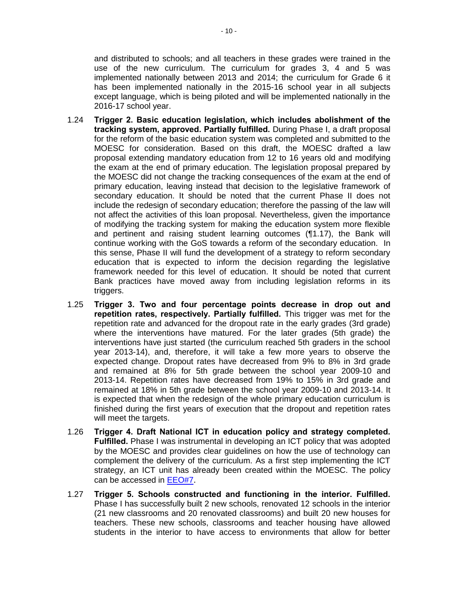and distributed to schools; and all teachers in these grades were trained in the use of the new curriculum. The curriculum for grades 3, 4 and 5 was implemented nationally between 2013 and 2014; the curriculum for Grade 6 it has been implemented nationally in the 2015-16 school year in all subjects except language, which is being piloted and will be implemented nationally in the 2016-17 school year.

- 1.24 **Trigger 2. Basic education legislation, which includes abolishment of the tracking system, approved. Partially fulfilled.** During Phase I, a draft proposal for the reform of the basic education system was completed and submitted to the MOESC for consideration. Based on this draft, the MOESC drafted a law proposal extending mandatory education from 12 to 16 years old and modifying the exam at the end of primary education. The legislation proposal prepared by the MOESC did not change the tracking consequences of the exam at the end of primary education, leaving instead that decision to the legislative framework of secondary education. It should be noted that the current Phase II does not include the redesign of secondary education; therefore the passing of the law will not affect the activities of this loan proposal. Nevertheless, given the importance of modifying the tracking system for making the education system more flexible and pertinent and raising student learning outcomes ([¶1.17\)](#page-10-0), the Bank will continue working with the GoS towards a reform of the secondary education. In this sense, Phase II will fund the development of a strategy to reform secondary education that is expected to inform the decision regarding the legislative framework needed for this level of education. It should be noted that current Bank practices have moved away from including legislation reforms in its triggers.
- 1.25 **Trigger 3. Two and four percentage points decrease in drop out and repetition rates, respectively. Partially fulfilled.** This trigger was met for the repetition rate and advanced for the dropout rate in the early grades (3rd grade) where the interventions have matured. For the later grades (5th grade) the interventions have just started (the curriculum reached 5th graders in the school year 2013-14), and, therefore, it will take a few more years to observe the expected change. Dropout rates have decreased from 9% to 8% in 3rd grade and remained at 8% for 5th grade between the school year 2009-10 and 2013-14. Repetition rates have decreased from 19% to 15% in 3rd grade and remained at 18% in 5th grade between the school year 2009-10 and 2013-14. It is expected that when the redesign of the whole primary education curriculum is finished during the first years of execution that the dropout and repetition rates will meet the targets.
- 1.26 **Trigger 4. Draft National ICT in education policy and strategy completed. Fulfilled.** Phase I was instrumental in developing an ICT policy that was adopted by the MOESC and provides clear guidelines on how the use of technology can complement the delivery of the curriculum. As a first step implementing the ICT strategy, an ICT unit has already been created within the MOESC. The policy can be accessed in [EEO#7](http://idbdocs.iadb.org/wsdocs/getDocument.aspx?DOCNUM=39870991).
- 1.27 **Trigger 5. Schools constructed and functioning in the interior. Fulfilled.**  Phase I has successfully built 2 new schools, renovated 12 schools in the interior (21 new classrooms and 20 renovated classrooms) and built 20 new houses for teachers. These new schools, classrooms and teacher housing have allowed students in the interior to have access to environments that allow for better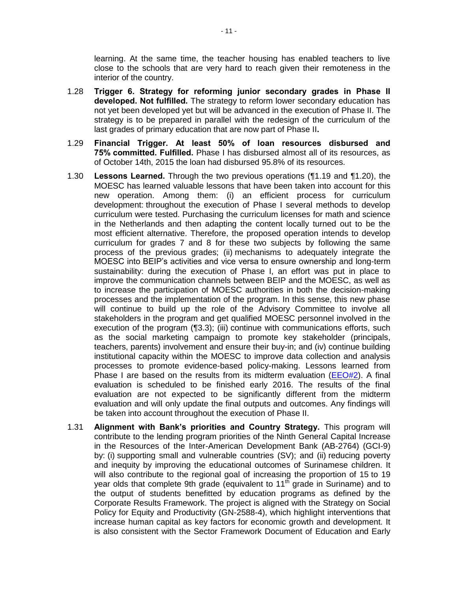learning. At the same time, the teacher housing has enabled teachers to live close to the schools that are very hard to reach given their remoteness in the interior of the country.

- 1.28 **Trigger 6. Strategy for reforming junior secondary grades in Phase II developed. Not fulfilled.** The strategy to reform lower secondary education has not yet been developed yet but will be advanced in the execution of Phase II. The strategy is to be prepared in parallel with the redesign of the curriculum of the last grades of primary education that are now part of Phase II**.**
- 1.29 **Financial Trigger. At least 50% of loan resources disbursed and 75% committed. Fulfilled.** Phase I has disbursed almost all of its resources, as of October 14th, 2015 the loan had disbursed 95.8% of its resources.
- 1.30 **Lessons Learned.** Through the two previous operations ([¶1.19](#page-11-0) and [¶1.20\)](#page-11-1), the MOESC has learned valuable lessons that have been taken into account for this new operation. Among them: (i) an efficient process for curriculum development: throughout the execution of Phase I several methods to develop curriculum were tested. Purchasing the curriculum licenses for math and science in the Netherlands and then adapting the content locally turned out to be the most efficient alternative. Therefore, the proposed operation intends to develop curriculum for grades 7 and 8 for these two subjects by following the same process of the previous grades; (ii) mechanisms to adequately integrate the MOESC into BEIP's activities and vice versa to ensure ownership and long-term sustainability: during the execution of Phase I, an effort was put in place to improve the communication channels between BEIP and the MOESC, as well as to increase the participation of MOESC authorities in both the decision-making processes and the implementation of the program. In this sense, this new phase will continue to build up the role of the Advisory Committee to involve all stakeholders in the program and get qualified MOESC personnel involved in the execution of the program ([¶3.3\)](#page-20-0); (iii) continue with communications efforts, such as the social marketing campaign to promote key stakeholder (principals, teachers, parents) involvement and ensure their buy-in; and (iv) continue building institutional capacity within the MOESC to improve data collection and analysis processes to promote evidence-based policy-making. Lessons learned from Phase I are based on the results from its midterm evaluation [\(EEO#2\)](http://idbdocs.iadb.org/wsdocs/getDocument.aspx?DOCNUM=39358692). A final evaluation is scheduled to be finished early 2016. The results of the final evaluation are not expected to be significantly different from the midterm evaluation and will only update the final outputs and outcomes. Any findings will be taken into account throughout the execution of Phase II.
- 1.31 **Alignment with Bank's priorities and Country Strategy.** This program will contribute to the lending program priorities of the Ninth General Capital Increase in the Resources of the Inter-American Development Bank (AB-2764) (GCI-9) by: (i) supporting small and vulnerable countries (SV); and (ii) reducing poverty and inequity by improving the educational outcomes of Surinamese children. It will also contribute to the regional goal of increasing the proportion of 15 to 19 year olds that complete 9th grade (equivalent to  $11<sup>th</sup>$  grade in Suriname) and to the output of students benefitted by education programs as defined by the Corporate Results Framework. The project is aligned with the Strategy on Social Policy for Equity and Productivity (GN-2588-4), which highlight interventions that increase human capital as key factors for economic growth and development. It is also consistent with the Sector Framework Document of Education and Early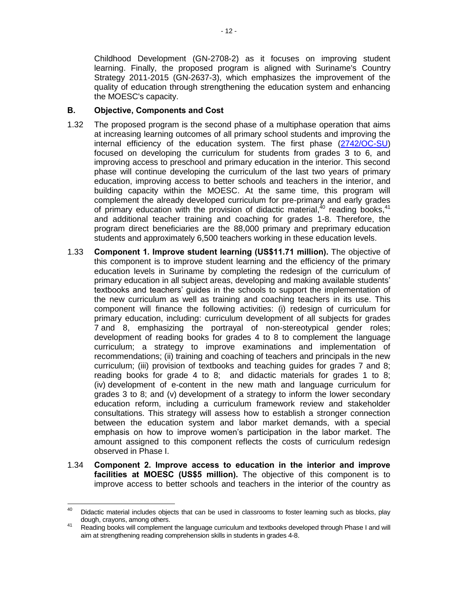Childhood Development (GN-2708-2) as it focuses on improving student learning. Finally, the proposed program is aligned with Suriname's Country Strategy 2011-2015 (GN-2637-3), which emphasizes the improvement of the quality of education through strengthening the education system and enhancing the MOESC's capacity.

### **B. Objective, Components and Cost**

- 1.32 The proposed program is the second phase of a multiphase operation that aims at increasing learning outcomes of all primary school students and improving the internal efficiency of the education system. The first phase [\(2742/OC-SU\)](http://idbdocs.iadb.org/wsdocs/getDocument.aspx?DOCNUM=36969851) focused on developing the curriculum for students from grades 3 to 6, and improving access to preschool and primary education in the interior. This second phase will continue developing the curriculum of the last two years of primary education, improving access to better schools and teachers in the interior, and building capacity within the MOESC. At the same time, this program will complement the already developed curriculum for pre-primary and early grades of primary education with the provision of didactic material, $40$  reading books, $41$ and additional teacher training and coaching for grades 1-8. Therefore, the program direct beneficiaries are the 88,000 primary and preprimary education students and approximately 6,500 teachers working in these education levels.
- 1.33 **Component 1. Improve student learning (US\$11.71 million).** The objective of this component is to improve student learning and the efficiency of the primary education levels in Suriname by completing the redesign of the curriculum of primary education in all subject areas, developing and making available students' textbooks and teachers' guides in the schools to support the implementation of the new curriculum as well as training and coaching teachers in its use. This component will finance the following activities: (i) redesign of curriculum for primary education, including: curriculum development of all subjects for grades 7 and 8, emphasizing the portrayal of non-stereotypical gender roles; development of reading books for grades 4 to 8 to complement the language curriculum; a strategy to improve examinations and implementation of recommendations; (ii) training and coaching of teachers and principals in the new curriculum; (iii) provision of textbooks and teaching guides for grades 7 and 8; reading books for grade 4 to 8; and didactic materials for grades 1 to 8; (iv) development of e-content in the new math and language curriculum for grades 3 to 8; and (v) development of a strategy to inform the lower secondary education reform, including a curriculum framework review and stakeholder consultations. This strategy will assess how to establish a stronger connection between the education system and labor market demands, with a special emphasis on how to improve women's participation in the labor market. The amount assigned to this component reflects the costs of curriculum redesign observed in Phase I.
- 1.34 **Component 2. Improve access to education in the interior and improve facilities at MOESC (US\$5 million).** The objective of this component is to improve access to better schools and teachers in the interior of the country as

<sup>40</sup> Didactic material includes objects that can be used in classrooms to foster learning such as blocks, play dough, crayons, among others.

<sup>&</sup>lt;sup>41</sup> Reading books will complement the language curriculum and textbooks developed through Phase I and will aim at strengthening reading comprehension skills in students in grades 4-8.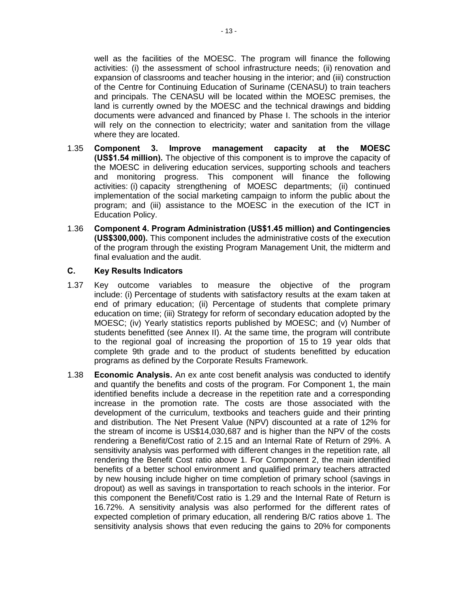well as the facilities of the MOESC. The program will finance the following activities: (i) the assessment of school infrastructure needs; (ii) renovation and expansion of classrooms and teacher housing in the interior; and (iii) construction of the Centre for Continuing Education of Suriname (CENASU) to train teachers and principals. The CENASU will be located within the MOESC premises, the land is currently owned by the MOESC and the technical drawings and bidding documents were advanced and financed by Phase I. The schools in the interior will rely on the connection to electricity; water and sanitation from the village where they are located.

- 1.35 **Component 3. Improve management capacity at the MOESC (US\$1.54 million).** The objective of this component is to improve the capacity of the MOESC in delivering education services, supporting schools and teachers and monitoring progress. This component will finance the following activities: (i) capacity strengthening of MOESC departments; (ii) continued implementation of the social marketing campaign to inform the public about the program; and (iii) assistance to the MOESC in the execution of the ICT in Education Policy.
- 1.36 **Component 4. Program Administration (US\$1.45 million) and Contingencies (US\$300,000).** This component includes the administrative costs of the execution of the program through the existing Program Management Unit, the midterm and final evaluation and the audit.

#### **C. Key Results Indicators**

- 1.37 Key outcome variables to measure the objective of the program include: (i) Percentage of students with satisfactory results at the exam taken at end of primary education; (ii) Percentage of students that complete primary education on time; (iii) Strategy for reform of secondary education adopted by the MOESC; (iv) Yearly statistics reports published by MOESC; and (v) Number of students benefitted (see Annex II). At the same time, the program will contribute to the regional goal of increasing the proportion of 15 to 19 year olds that complete 9th grade and to the product of students benefitted by education programs as defined by the Corporate Results Framework.
- 1.38 **Economic Analysis.** An ex ante cost benefit analysis was conducted to identify and quantify the benefits and costs of the program. For Component 1, the main identified benefits include a decrease in the repetition rate and a corresponding increase in the promotion rate. The costs are those associated with the development of the curriculum, textbooks and teachers guide and their printing and distribution. The Net Present Value (NPV) discounted at a rate of 12% for the stream of income is US\$14,030,687 and is higher than the NPV of the costs rendering a Benefit/Cost ratio of 2.15 and an Internal Rate of Return of 29%. A sensitivity analysis was performed with different changes in the repetition rate, all rendering the Benefit Cost ratio above 1. For Component 2, the main identified benefits of a better school environment and qualified primary teachers attracted by new housing include higher on time completion of primary school (savings in dropout) as well as savings in transportation to reach schools in the interior. For this component the Benefit/Cost ratio is 1.29 and the Internal Rate of Return is 16.72%. A sensitivity analysis was also performed for the different rates of expected completion of primary education, all rendering B/C ratios above 1. The sensitivity analysis shows that even reducing the gains to 20% for components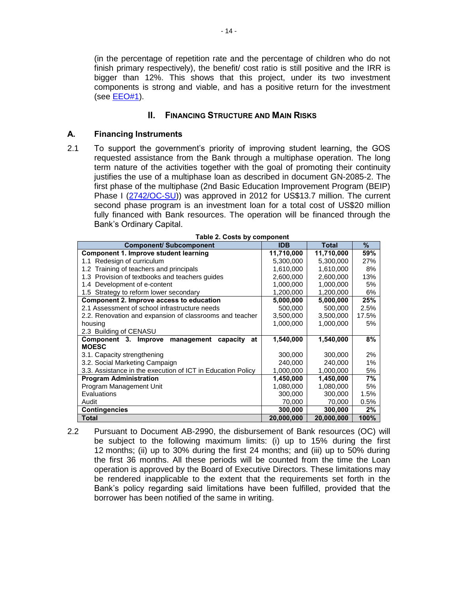(in the percentage of repetition rate and the percentage of children who do not finish primary respectively), the benefit/ cost ratio is still positive and the IRR is bigger than 12%. This shows that this project, under its two investment components is strong and viable, and has a positive return for the investment (see [EEO#1\)](http://idbdocs.iadb.org/wsdocs/getDocument.aspx?DOCNUM=http://idbdocs.iadb.org/wsdocs/getDocument.aspx?DOCNUM=39870306).

### **II. FINANCING STRUCTURE AND MAIN RISKS**

### **A. Financing Instruments**

2.1 To support the government's priority of improving student learning, the GOS requested assistance from the Bank through a multiphase operation. The long term nature of the activities together with the goal of promoting their continuity justifies the use of a multiphase loan as described in document GN-2085-2. The first phase of the multiphase (2nd Basic Education Improvement Program (BEIP) Phase I [\(2742/OC-SU\)](http://www.iadb.org/en/projects/project-description-title,1303.html?id=SU-L1019)) was approved in 2012 for US\$13.7 million. The current second phase program is an investment loan for a total cost of US\$20 million fully financed with Bank resources. The operation will be financed through the Bank's Ordinary Capital.

| <b>Component/ Subcomponent</b>                              | <b>IDB</b> | <b>Total</b> | $\%$  |
|-------------------------------------------------------------|------------|--------------|-------|
| <b>Component 1. Improve student learning</b>                | 11,710,000 | 11,710,000   | 59%   |
| 1.1 Redesign of curriculum                                  | 5,300,000  | 27%          |       |
| Training of teachers and principals<br>1.2 <sub>1</sub>     | 1,610,000  | 1,610,000    | 8%    |
| 1.3 Provision of textbooks and teachers guides              | 2,600,000  | 13%          |       |
| 1.4 Development of e-content                                | 1,000,000  | 1,000,000    | 5%    |
| 1.5 Strategy to reform lower secondary                      | 1,200,000  | 1,200,000    | 6%    |
| Component 2. Improve access to education                    | 5,000,000  | 5,000,000    | 25%   |
| 2.1 Assessment of school infrastructure needs               | 500,000    | 500,000      | 2.5%  |
| 2.2. Renovation and expansion of classrooms and teacher     | 3,500,000  | 3,500,000    | 17.5% |
| housing                                                     | 1,000,000  | 1,000,000    | 5%    |
| 2.3 Building of CENASU                                      |            |              |       |
| Component 3. Improve<br>management<br>capacity<br>at        | 1,540,000  | 1,540,000    | 8%    |
| <b>MOESC</b>                                                |            |              |       |
| 3.1. Capacity strengthening                                 | 300,000    | 300,000      | 2%    |
| 3.2. Social Marketing Campaign                              | 240,000    | 240,000      | 1%    |
| 3.3. Assistance in the execution of ICT in Education Policy | 1,000,000  | 1,000,000    | 5%    |
| <b>Program Administration</b>                               | 1,450,000  | 1,450,000    | 7%    |
| Program Management Unit                                     | 1,080,000  | 1,080,000    | 5%    |
| Evaluations                                                 | 300,000    | 300,000      | 1.5%  |
| Audit                                                       | 70,000     | 70,000       | 0.5%  |
| <b>Contingencies</b>                                        | 300,000    | 300,000      | 2%    |
| <b>Total</b>                                                | 20,000,000 | 20,000,000   | 100%  |

<span id="page-17-0"></span>2.2 Pursuant to Document AB-2990, the disbursement of Bank resources (OC) will be subject to the following maximum limits: (i) up to 15% during the first 12 months; (ii) up to 30% during the first 24 months; and (iii) up to 50% during the first 36 months. All these periods will be counted from the time the Loan operation is approved by the Board of Executive Directors. These limitations may be rendered inapplicable to the extent that the requirements set forth in the Bank's policy regarding said limitations have been fulfilled, provided that the borrower has been notified of the same in writing.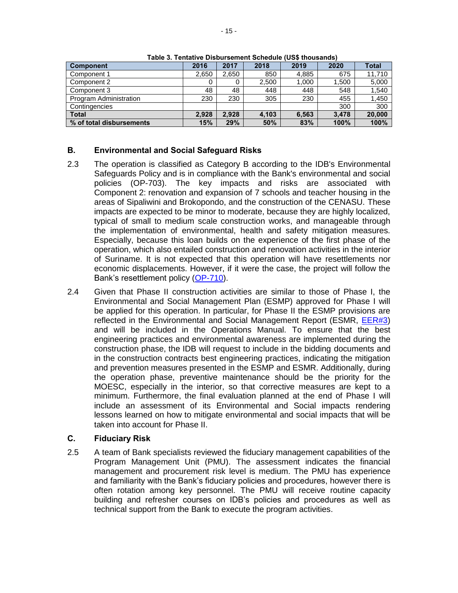| <b>Component</b>         | 2016  | 2017  | 2018  | 2019  | 2020  | <b>Total</b> |
|--------------------------|-------|-------|-------|-------|-------|--------------|
| Component 1              | 2,650 | 2,650 | 850   | 4.885 | 675   | 11.710       |
| Component 2              |       |       | 2,500 | 1,000 | 1,500 | 5,000        |
| Component 3              | 48    | 48    | 448   | 448   | 548   | 1,540        |
| Program Administration   | 230   | 230   | 305   | 230   | 455   | 1,450        |
| Contingencies            |       |       |       |       | 300   | 300          |
| <b>Total</b>             | 2.928 | 2.928 | 4.103 | 6,563 | 3.478 | 20,000       |
| % of total disbursements | 15%   | 29%   | 50%   | 83%   | 100%  | 100%         |

**Table 3. Tentative Disbursement Schedule (US\$ thousands)**

# **B. Environmental and Social Safeguard Risks**

- 2.3 The operation is classified as Category B according to the IDB's Environmental Safeguards Policy and is in compliance with the Bank's environmental and social policies (OP-703). The key impacts and risks are associated with Component 2: renovation and expansion of 7 schools and teacher housing in the areas of Sipaliwini and Brokopondo, and the construction of the CENASU. These impacts are expected to be minor to moderate, because they are highly localized, typical of small to medium scale construction works, and manageable through the implementation of environmental, health and safety mitigation measures. Especially, because this loan builds on the experience of the first phase of the operation, which also entailed construction and renovation activities in the interior of Suriname. It is not expected that this operation will have resettlements nor economic displacements. However, if it were the case, the project will follow the Bank's resettlement policy [\(OP-710\)](http://manuals/go.cfm?do=Page.View&pid=1184).
- 2.4 Given that Phase II construction activities are similar to those of Phase I, the Environmental and Social Management Plan (ESMP) approved for Phase I will be applied for this operation. In particular, for Phase II the ESMP provisions are reflected in the Environmental and Social Management Report (ESMR, [EER#3\)](http://idbdocs.iadb.org/wsdocs/getDocument.aspx?DOCNUM=39883953) and will be included in the Operations Manual. To ensure that the best engineering practices and environmental awareness are implemented during the construction phase, the IDB will request to include in the bidding documents and in the construction contracts best engineering practices, indicating the mitigation and prevention measures presented in the ESMP and ESMR. Additionally, during the operation phase, preventive maintenance should be the priority for the MOESC, especially in the interior, so that corrective measures are kept to a minimum. Furthermore, the final evaluation planned at the end of Phase I will include an assessment of its Environmental and Social impacts rendering lessons learned on how to mitigate environmental and social impacts that will be taken into account for Phase II.

### **C. Fiduciary Risk**

2.5 A team of Bank specialists reviewed the fiduciary management capabilities of the Program Management Unit (PMU). The assessment indicates the financial management and procurement risk level is medium. The PMU has experience and familiarity with the Bank's fiduciary policies and procedures, however there is often rotation among key personnel. The PMU will receive routine capacity building and refresher courses on IDB's policies and procedures as well as technical support from the Bank to execute the program activities.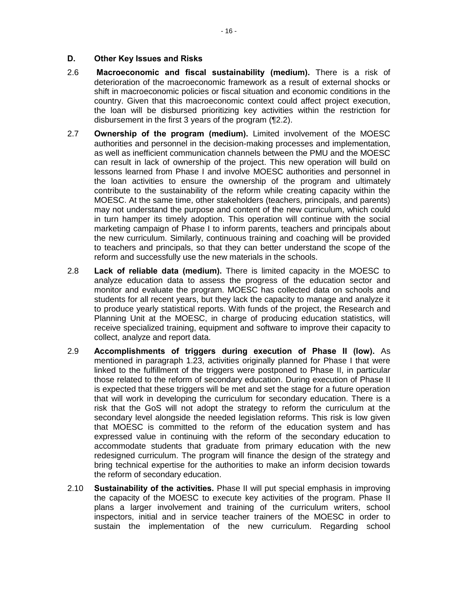#### **D. Other Key Issues and Risks**

- 2.6 **Macroeconomic and fiscal sustainability (medium).** There is a risk of deterioration of the macroeconomic framework as a result of external shocks or shift in macroeconomic policies or fiscal situation and economic conditions in the country. Given that this macroeconomic context could affect project execution, the loan will be disbursed prioritizing key activities within the restriction for disbursement in the first 3 years of the program ([¶2.2\)](#page-17-0).
- 2.7 **Ownership of the program (medium).** Limited involvement of the MOESC authorities and personnel in the decision-making processes and implementation, as well as inefficient communication channels between the PMU and the MOESC can result in lack of ownership of the project. This new operation will build on lessons learned from Phase I and involve MOESC authorities and personnel in the loan activities to ensure the ownership of the program and ultimately contribute to the sustainability of the reform while creating capacity within the MOESC. At the same time, other stakeholders (teachers, principals, and parents) may not understand the purpose and content of the new curriculum, which could in turn hamper its timely adoption. This operation will continue with the social marketing campaign of Phase I to inform parents, teachers and principals about the new curriculum. Similarly, continuous training and coaching will be provided to teachers and principals, so that they can better understand the scope of the reform and successfully use the new materials in the schools.
- 2.8 **Lack of reliable data (medium).** There is limited capacity in the MOESC to analyze education data to assess the progress of the education sector and monitor and evaluate the program. MOESC has collected data on schools and students for all recent years, but they lack the capacity to manage and analyze it to produce yearly statistical reports. With funds of the project, the Research and Planning Unit at the MOESC, in charge of producing education statistics, will receive specialized training, equipment and software to improve their capacity to collect, analyze and report data.
- 2.9 **Accomplishments of triggers during execution of Phase II (low).** As mentioned in paragraph 1.23, activities originally planned for Phase I that were linked to the fulfillment of the triggers were postponed to Phase II, in particular those related to the reform of secondary education. During execution of Phase II is expected that these triggers will be met and set the stage for a future operation that will work in developing the curriculum for secondary education. There is a risk that the GoS will not adopt the strategy to reform the curriculum at the secondary level alongside the needed legislation reforms. This risk is low given that MOESC is committed to the reform of the education system and has expressed value in continuing with the reform of the secondary education to accommodate students that graduate from primary education with the new redesigned curriculum. The program will finance the design of the strategy and bring technical expertise for the authorities to make an inform decision towards the reform of secondary education.
- 2.10 **Sustainability of the activities.** Phase II will put special emphasis in improving the capacity of the MOESC to execute key activities of the program. Phase II plans a larger involvement and training of the curriculum writers, school inspectors, initial and in service teacher trainers of the MOESC in order to sustain the implementation of the new curriculum. Regarding school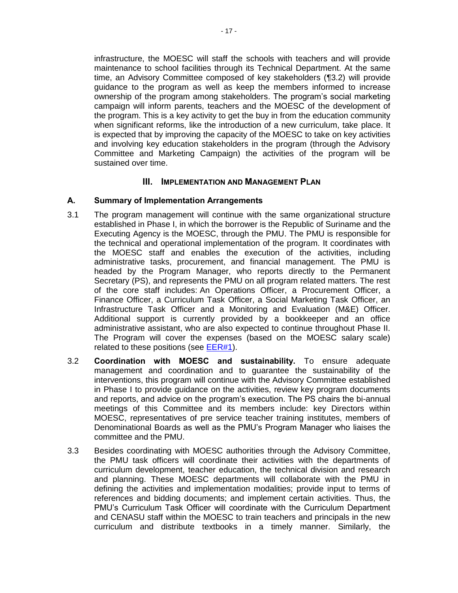infrastructure, the MOESC will staff the schools with teachers and will provide maintenance to school facilities through its Technical Department. At the same time, an Advisory Committee composed of key stakeholders ([¶3.2\)](#page-20-1) will provide guidance to the program as well as keep the members informed to increase ownership of the program among stakeholders. The program's social marketing campaign will inform parents, teachers and the MOESC of the development of the program. This is a key activity to get the buy in from the education community when significant reforms, like the introduction of a new curriculum, take place. It is expected that by improving the capacity of the MOESC to take on key activities and involving key education stakeholders in the program (through the Advisory Committee and Marketing Campaign) the activities of the program will be sustained over time.

# **III. IMPLEMENTATION AND MANAGEMENT PLAN**

#### **A. Summary of Implementation Arrangements**

- 3.1 The program management will continue with the same organizational structure established in Phase I, in which the borrower is the Republic of Suriname and the Executing Agency is the MOESC, through the PMU. The PMU is responsible for the technical and operational implementation of the program. It coordinates with the MOESC staff and enables the execution of the activities, including administrative tasks, procurement, and financial management. The PMU is headed by the Program Manager, who reports directly to the Permanent Secretary (PS), and represents the PMU on all program related matters. The rest of the core staff includes: An Operations Officer, a Procurement Officer, a Finance Officer, a Curriculum Task Officer, a Social Marketing Task Officer, an Infrastructure Task Officer and a Monitoring and Evaluation (M&E) Officer. Additional support is currently provided by a bookkeeper and an office administrative assistant, who are also expected to continue throughout Phase II. The Program will cover the expenses (based on the MOESC salary scale) related to these positions (see [EER#1\)](http://idbdocs.iadb.org/wsdocs/getDocument.aspx?DOCNUM=39870227).
- <span id="page-20-1"></span>3.2 **Coordination with MOESC and sustainability.** To ensure adequate management and coordination and to guarantee the sustainability of the interventions, this program will continue with the Advisory Committee established in Phase I to provide guidance on the activities, review key program documents and reports, and advice on the program's execution. The PS chairs the bi-annual meetings of this Committee and its members include: key Directors within MOESC, representatives of pre service teacher training institutes, members of Denominational Boards as well as the PMU's Program Manager who liaises the committee and the PMU.
- <span id="page-20-0"></span>3.3 Besides coordinating with MOESC authorities through the Advisory Committee, the PMU task officers will coordinate their activities with the departments of curriculum development, teacher education, the technical division and research and planning. These MOESC departments will collaborate with the PMU in defining the activities and implementation modalities; provide input to terms of references and bidding documents; and implement certain activities. Thus, the PMU's Curriculum Task Officer will coordinate with the Curriculum Department and CENASU staff within the MOESC to train teachers and principals in the new curriculum and distribute textbooks in a timely manner. Similarly, the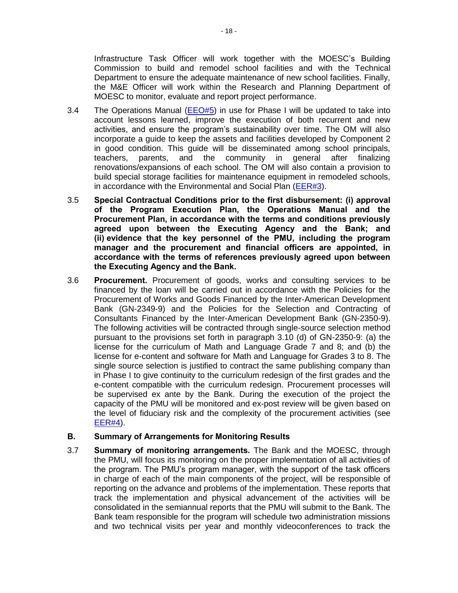Infrastructure Task Officer will work together with the MOESC's Building Commission to build and remodel school facilities and with the Technical Department to ensure the adequate maintenance of new school facilities. Finally, the M&E Officer will work within the Research and Planning Department of MOESC to monitor, evaluate and report project performance.

- 3.4 The Operations Manual [\(EEO#5\)](http://idbdocs.iadb.org/wsdocs/getDocument.aspx?DOCNUM=39924530) in use for Phase I will be updated to take into account lessons learned, improve the execution of both recurrent and new activities, and ensure the program's sustainability over time. The OM will also incorporate a guide to keep the assets and facilities developed by Component 2 in good condition. This guide will be disseminated among school principals, teachers, parents, and the community in general after finalizing renovations/expansions of each school. The OM will also contain a provision to build special storage facilities for maintenance equipment in remodeled schools, in accordance with the Environmental and Social Plan [\(EER#3\)](http://idbdocs.iadb.org/wsdocs/getDocument.aspx?DOCNUM=39883953).
- <span id="page-21-0"></span>3.5 **Special Contractual Conditions prior to the first disbursement: (i) approval of the Program Execution Plan, the Operations Manual and the Procurement Plan, in accordance with the terms and conditions previously agreed upon between the Executing Agency and the Bank; and (ii) evidence that the key personnel of the PMU, including the program manager and the procurement and financial officers are appointed, in accordance with the terms of references previously agreed upon between the Executing Agency and the Bank.**
- 3.6 **Procurement.** Procurement of goods, works and consulting services to be financed by the loan will be carried out in accordance with the Policies for the Procurement of Works and Goods Financed by the Inter-American Development Bank (GN-2349-9) and the Policies for the Selection and Contracting of Consultants Financed by the Inter-American Development Bank (GN-2350-9). The following activities will be contracted through single-source selection method pursuant to the provisions set forth in paragraph 3.10 (d) of GN-2350-9: (a) the license for the curriculum of Math and Language Grade 7 and 8; and (b) the license for e-content and software for Math and Language for Grades 3 to 8. The single source selection is justified to contract the same publishing company than in Phase I to give continuity to the curriculum redesign of the first grades and the e-content compatible with the curriculum redesign. Procurement processes will be supervised ex ante by the Bank. During the execution of the project the capacity of the PMU will be monitored and ex-post review will be given based on the level of fiduciary risk and the complexity of the procurement activities (see  $EER#4$ ).

### **B. Summary of Arrangements for Monitoring Results**

3.7 **Summary of monitoring arrangements.** The Bank and the MOESC, through the PMU, will focus its monitoring on the proper implementation of all activities of the program. The PMU's program manager, with the support of the task officers in charge of each of the main components of the project, will be responsible of reporting on the advance and problems of the implementation. These reports that track the implementation and physical advancement of the activities will be consolidated in the semiannual reports that the PMU will submit to the Bank. The Bank team responsible for the program will schedule two administration missions and two technical visits per year and monthly videoconferences to track the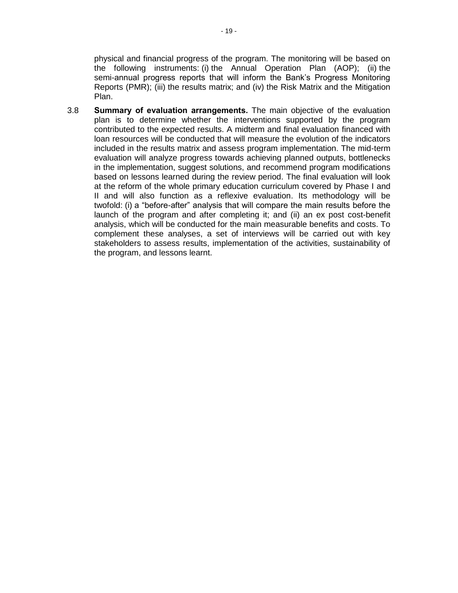physical and financial progress of the program. The monitoring will be based on the following instruments: (i) the Annual Operation Plan (AOP); (ii) the semi-annual progress reports that will inform the Bank's Progress Monitoring Reports (PMR); (iii) the results matrix; and (iv) the Risk Matrix and the Mitigation Plan.

3.8 **Summary of evaluation arrangements.** The main objective of the evaluation plan is to determine whether the interventions supported by the program contributed to the expected results. A midterm and final evaluation financed with loan resources will be conducted that will measure the evolution of the indicators included in the results matrix and assess program implementation. The mid-term evaluation will analyze progress towards achieving planned outputs, bottlenecks in the implementation, suggest solutions, and recommend program modifications based on lessons learned during the review period. The final evaluation will look at the reform of the whole primary education curriculum covered by Phase I and II and will also function as a reflexive evaluation. Its methodology will be twofold: (i) a "before-after" analysis that will compare the main results before the launch of the program and after completing it; and (ii) an ex post cost-benefit analysis, which will be conducted for the main measurable benefits and costs. To complement these analyses, a set of interviews will be carried out with key stakeholders to assess results, implementation of the activities, sustainability of the program, and lessons learnt.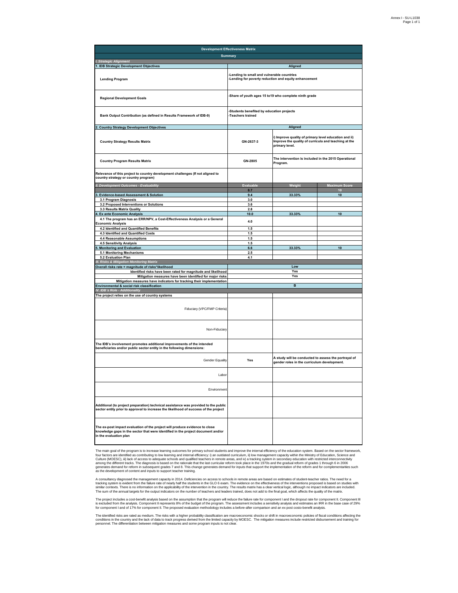| <b>Development Effectiveness Matrix</b>                                                                                                                                                   |                                                                                                                                              |                                                                                                     |                      |  |  |  |  |  |
|-------------------------------------------------------------------------------------------------------------------------------------------------------------------------------------------|----------------------------------------------------------------------------------------------------------------------------------------------|-----------------------------------------------------------------------------------------------------|----------------------|--|--|--|--|--|
|                                                                                                                                                                                           | <b>Summary</b>                                                                                                                               |                                                                                                     |                      |  |  |  |  |  |
| I. Strategic Alignment                                                                                                                                                                    |                                                                                                                                              |                                                                                                     |                      |  |  |  |  |  |
| 1. IDB Strategic Development Objectives                                                                                                                                                   |                                                                                                                                              | Aligned                                                                                             |                      |  |  |  |  |  |
| <b>Lending Program</b>                                                                                                                                                                    | -Lending to small and vulnerable countries<br>-Lending for poverty reduction and equity enhancement                                          |                                                                                                     |                      |  |  |  |  |  |
| <b>Regional Development Goals</b>                                                                                                                                                         |                                                                                                                                              | -Share of youth ages 15 to19 who complete ninth grade                                               |                      |  |  |  |  |  |
| Bank Output Contribution (as defined in Results Framework of IDB-9)                                                                                                                       | Students benefited by education projects<br>-Teachers trained                                                                                |                                                                                                     |                      |  |  |  |  |  |
| <b>Country Strategy Development Objectives</b>                                                                                                                                            |                                                                                                                                              | Aligned                                                                                             |                      |  |  |  |  |  |
| <b>Country Strategy Results Matrix</b>                                                                                                                                                    | i) Improve quality of primary level education and ii)<br>Improve the quality of curricula and teaching at the<br>GN-2637-3<br>primary level. |                                                                                                     |                      |  |  |  |  |  |
| <b>Country Program Results Matrix</b>                                                                                                                                                     | GN-2805                                                                                                                                      | The intervention is included in the 2015 Operational<br>Program.                                    |                      |  |  |  |  |  |
| Relevance of this project to country development challenges (If not aligned to<br>country strategy or country program)                                                                    |                                                                                                                                              |                                                                                                     |                      |  |  |  |  |  |
| II. Development Outcomes - Evaluability                                                                                                                                                   | <b>Evaluable</b>                                                                                                                             | Weight                                                                                              | <b>Maximum Score</b> |  |  |  |  |  |
|                                                                                                                                                                                           | 8.7<br>9.4                                                                                                                                   | 33.33%                                                                                              | 10<br>10             |  |  |  |  |  |
| <b>Evidence-based Assessment &amp; Solution</b><br>3.1 Program Diagnosis                                                                                                                  | 3.0                                                                                                                                          |                                                                                                     |                      |  |  |  |  |  |
| 3.2 Proposed Interventions or Solutions                                                                                                                                                   | 3.6                                                                                                                                          |                                                                                                     |                      |  |  |  |  |  |
| 3.3 Results Matrix Quality                                                                                                                                                                | 2.8                                                                                                                                          |                                                                                                     |                      |  |  |  |  |  |
| 4. Ex ante Economic Analysis                                                                                                                                                              | 10.0                                                                                                                                         | 33.33%                                                                                              | 10                   |  |  |  |  |  |
| 4.1 The program has an ERR/NPV, a Cost-Effectiveness Analysis or a General                                                                                                                | 4.0                                                                                                                                          |                                                                                                     |                      |  |  |  |  |  |
| <b>Economic Analysis</b>                                                                                                                                                                  |                                                                                                                                              |                                                                                                     |                      |  |  |  |  |  |
| 4.2 Identified and Quantified Benefits                                                                                                                                                    | 1.5                                                                                                                                          |                                                                                                     |                      |  |  |  |  |  |
| 4.3 Identified and Quantified Costs                                                                                                                                                       | 1.5                                                                                                                                          |                                                                                                     |                      |  |  |  |  |  |
| 4.4 Reasonable Assumptions                                                                                                                                                                | 1.5<br>1.5                                                                                                                                   |                                                                                                     |                      |  |  |  |  |  |
| 4.5 Sensitivity Analysis<br><b>Monitoring and Evaluation</b>                                                                                                                              | 6.6                                                                                                                                          | 33.33%                                                                                              | 10                   |  |  |  |  |  |
| 5.1 Monitoring Mechanisms                                                                                                                                                                 | 2.5                                                                                                                                          |                                                                                                     |                      |  |  |  |  |  |
| 5.2 Evaluation Plan                                                                                                                                                                       | 4.1                                                                                                                                          |                                                                                                     |                      |  |  |  |  |  |
| <b>Risks &amp; Mitigation Monitoring Matrix</b>                                                                                                                                           |                                                                                                                                              |                                                                                                     |                      |  |  |  |  |  |
| Overall risks rate = magnitude of risks*likelihood                                                                                                                                        |                                                                                                                                              | Low                                                                                                 |                      |  |  |  |  |  |
| Identified risks have been rated for magnitude and likelihood                                                                                                                             |                                                                                                                                              | Yes                                                                                                 |                      |  |  |  |  |  |
| Mitigation measures have been identified for major risks                                                                                                                                  |                                                                                                                                              | Yes                                                                                                 |                      |  |  |  |  |  |
| Mitigation measures have indicators for tracking their implementation<br>Environmental & social risk classification                                                                       |                                                                                                                                              | B                                                                                                   |                      |  |  |  |  |  |
| IV. IDB's Role - Additionality                                                                                                                                                            |                                                                                                                                              |                                                                                                     |                      |  |  |  |  |  |
| The project relies on the use of country systems                                                                                                                                          |                                                                                                                                              |                                                                                                     |                      |  |  |  |  |  |
| Fiduciary (VPC/FMP Criteria)                                                                                                                                                              |                                                                                                                                              |                                                                                                     |                      |  |  |  |  |  |
| Non-Fiduciary                                                                                                                                                                             |                                                                                                                                              |                                                                                                     |                      |  |  |  |  |  |
| The IDB's involvement promotes additional improvements of the intended<br>beneficiaries and/or public sector entity in the following dimensions:                                          |                                                                                                                                              |                                                                                                     |                      |  |  |  |  |  |
| <b>Gender Equality</b>                                                                                                                                                                    | Yes                                                                                                                                          | A study will be conducted to assess the portrayal of<br>gender roles in the curriculum development. |                      |  |  |  |  |  |
| Labor                                                                                                                                                                                     |                                                                                                                                              |                                                                                                     |                      |  |  |  |  |  |
| Environment                                                                                                                                                                               |                                                                                                                                              |                                                                                                     |                      |  |  |  |  |  |
| Additional (to project preparation) technical assistance was provided to the public<br>sector entity prior to approval to increase the likelihood of success of the project               |                                                                                                                                              |                                                                                                     |                      |  |  |  |  |  |
| The ex-post impact evaluation of the project will produce evidence to close<br>knowledge gaps in the sector that were identified in the project document and/or<br>in the evaluation plan |                                                                                                                                              |                                                                                                     |                      |  |  |  |  |  |

The main goal of the program is to increase learning outcomes for primary school students and mprove the intermedient management capacity within the Ministry of Education, Science and the program is to increase learning an

A consultancy diagnosed the management capacity in 2014. Deficiencies on access to mote areas are based on estimates of the interventions proposed is based on studies with<br>similar contexts. There is no information on the a

The project includes a cost-benefit analysis based on the assumption that the program will reduce the failure rate for component incomponent in Component III. Component III. Component III<br>is excluded from the analysis. Com

The identified risks are rated as medium. The risks with a higher probability classification are macroeconomic shocks or shift in macroeconomic policies of fiscal conditions affecting the<br>conditions in the country and the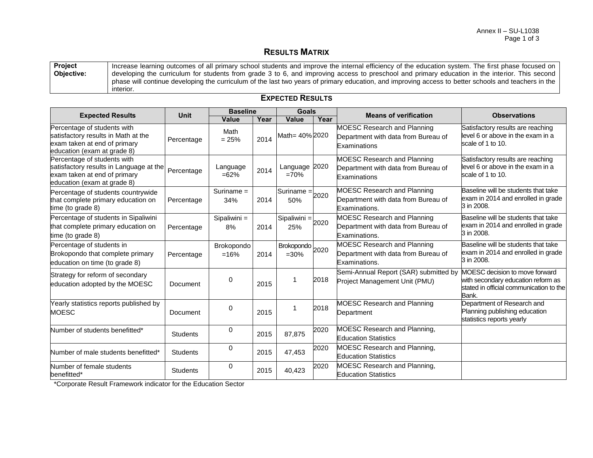#### **RESULTS MATRIX**

| <b>Project</b> | Increase learning outcomes of all primary school students and improve the internal efficiency of the education system. The first phase focused on                 |
|----------------|-------------------------------------------------------------------------------------------------------------------------------------------------------------------|
| Objective:     | developing the curriculum for students from grade 3 to 6, and improving access to preschool and primary education in the interior. This second                    |
|                | phase will continue developing the curriculum of the last two years of primary education, and improving access to better schools and teachers in the<br>interior. |

#### **Expected Results Unit Baseline Goals Means of verification Observations Value Year Value Year** Percentage of students with satisfactory results in Math at the exam taken at end of primary education (exam at grade 8) Percentage Math  $= 25\%$  2014 Math= 40% 2020 MOESC Research and Planning Department with data from Bureau of **Examinations** Satisfactory results are reaching level 6 or above in the exam in a scale of 1 to 10. Percentage of students with satisfactory results in Language at the exam taken at end of primary education (exam at grade 8) Percentage | Language =62% <sup>2014</sup> Language 2020 =70% MOESC Research and Planning Department with data from Bureau of Examinations Satisfactory results are reaching level 6 or above in the exam in a scale of 1 to 10. Percentage of students countrywide that complete primary education on time (to grade 8) Percentage Suriname = 34% 2014 Suriname  $=$  2020 50% MOESC Research and Planning Department with data from Bureau of Examinations. Baseline will be students that take exam in 2014 and enrolled in grade 3 in 2008. Percentage of students in Sipaliwini that complete primary education on time (to grade 8) Percentage Sipaliwini = 8% 2014 Sipaliwini  $=$  2020 25% MOESC Research and Planning Department with data from Bureau of Examinations. Baseline will be students that take exam in 2014 and enrolled in grade 3 in 2008. Percentage of students in Brokopondo that complete primary education on time (to grade 8) Percentage Brokopondo  $=16\%$  2014 Brokopondo  $\frac{1}{2020}$  2020 MOESC Research and Planning Department with data from Bureau of Examinations. Baseline will be students that take exam in 2014 and enrolled in grade 3 in 2008. Strategy for reform of secondary  $\left| \begin{array}{c} \text{plaegy for region of secondary} \\ \text{eduction adopted by the MOESC} \end{array} \right|$  Document  $\left| \begin{array}{c} 0 \\ \text{Document} \end{array} \right|$ <sup>2015</sup> <sup>1</sup> <sup>2018</sup> Semi-Annual Report (SAR) submitted by Project Management Unit (PMU) MOESC decision to move forward with secondary education reform as stated in official communication to the Bank. Yearly statistics reports published by MOESC NOTES 2015 1 2018 MOESC Research and Planning<br>
Department Department Department of Research and Planning publishing education statistics reports yearly Number of students benefitted\* <br>Students 1 2015 87,875 2020 MOESC Research and Planning, Education Statistics Number of male students benefitted\* Students 1 0 2015 47,453 2020 MOESC Research and Planning, Education Statistics Number of female students **benefitted\*** 0<br>benefitted\* 2015 40.423 2020 MOESC Research and Planning, Education Statistics

**EXPECTED RESULTS**

\*Corporate Result Framework indicator for the Education Sector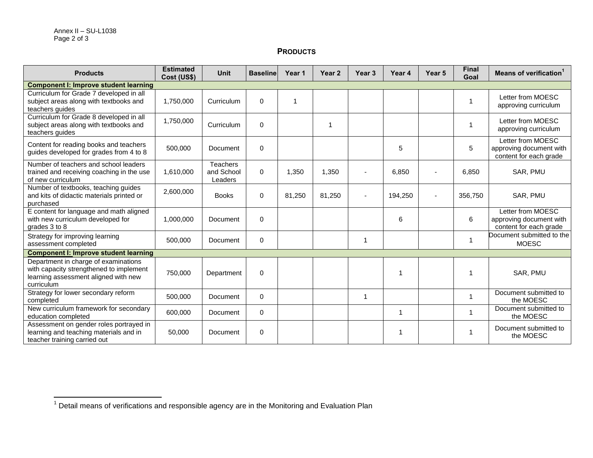$\overline{\phantom{a}}$ 

# **PRODUCTS**

| <b>Products</b>                                                                                                                       | <b>Estimated</b><br>Cost (US\$) | <b>Unit</b>                              | <b>Baseline</b> | Year 1 | Year <sub>2</sub> | Year <sub>3</sub> | Year 4  | Year <sub>5</sub> | <b>Final</b><br>Goal | Means of verification <sup>1</sup>                                     |
|---------------------------------------------------------------------------------------------------------------------------------------|---------------------------------|------------------------------------------|-----------------|--------|-------------------|-------------------|---------|-------------------|----------------------|------------------------------------------------------------------------|
| <b>Component I: Improve student learning</b>                                                                                          |                                 |                                          |                 |        |                   |                   |         |                   |                      |                                                                        |
| Curriculum for Grade 7 developed in all<br>subject areas along with textbooks and<br>teachers guides                                  | 1,750,000                       | Curriculum                               | $\mathbf 0$     | 1      |                   |                   |         |                   |                      | Letter from MOESC<br>approving curriculum                              |
| Curriculum for Grade 8 developed in all<br>subject areas along with textbooks and<br>teachers guides                                  | 1,750,000                       | Curriculum                               | $\mathbf 0$     |        | -1                |                   |         |                   |                      | Letter from MOESC<br>approving curriculum                              |
| Content for reading books and teachers<br>guides developed for grades from 4 to 8                                                     | 500,000                         | Document                                 | $\mathbf 0$     |        |                   |                   | 5       |                   | 5                    | Letter from MOESC<br>approving document with<br>content for each grade |
| Number of teachers and school leaders<br>trained and receiving coaching in the use<br>of new curriculum                               | 1,610,000                       | <b>Teachers</b><br>and School<br>Leaders | $\mathbf 0$     | 1,350  | 1,350             |                   | 6,850   |                   | 6,850                | SAR, PMU                                                               |
| Number of textbooks, teaching guides<br>and kits of didactic materials printed or<br>purchased                                        | 2,600,000                       | <b>Books</b>                             | $\mathbf 0$     | 81,250 | 81,250            | $\blacksquare$    | 194,250 | $\blacksquare$    | 356,750              | SAR, PMU                                                               |
| E content for language and math aligned<br>with new curriculum developed for<br>grades 3 to 8                                         | 1,000,000                       | Document                                 | $\mathbf 0$     |        |                   |                   | 6       |                   | 6                    | Letter from MOESC<br>approving document with<br>content for each grade |
| Strategy for improving learning<br>assessment completed                                                                               | 500,000                         | Document                                 | $\mathbf 0$     |        |                   | $\overline{1}$    |         |                   | 1                    | Document submitted to the<br><b>MOESC</b>                              |
| <b>Component I: Improve student learning</b>                                                                                          |                                 |                                          |                 |        |                   |                   |         |                   |                      |                                                                        |
| Department in charge of examinations<br>with capacity strengthened to implement<br>learning assessment aligned with new<br>curriculum | 750,000                         | Department                               | $\mathbf 0$     |        |                   |                   |         |                   | 1                    | SAR, PMU                                                               |
| Strategy for lower secondary reform<br>completed                                                                                      | 500,000                         | Document                                 | $\mathbf{0}$    |        |                   | -1                |         |                   |                      | Document submitted to<br>the MOESC                                     |
| New curriculum framework for secondary<br>education completed                                                                         | 600,000                         | Document                                 | $\mathbf{0}$    |        |                   |                   |         |                   |                      | Document submitted to<br>the MOESC                                     |
| Assessment on gender roles portrayed in<br>learning and teaching materials and in<br>teacher training carried out                     | 50,000                          | Document                                 | 0               |        |                   |                   |         |                   |                      | Document submitted to<br>the MOESC                                     |

 $1$  Detail means of verifications and responsible agency are in the Monitoring and Evaluation Plan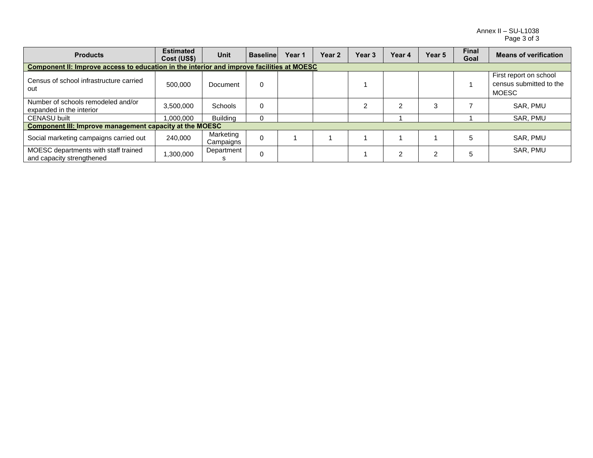Annex II – SU-L1038 Page 3 of 3

| <b>Products</b>                                                                           | <b>Estimated</b><br>Cost (US\$) | <b>Unit</b>            | <b>Baseline</b> | Year 1 | Year <sub>2</sub> | Year <sub>3</sub> | Year 4 | Year 5 | <b>Final</b><br>Goal | <b>Means of verification</b>                                      |
|-------------------------------------------------------------------------------------------|---------------------------------|------------------------|-----------------|--------|-------------------|-------------------|--------|--------|----------------------|-------------------------------------------------------------------|
| Component II: Improve access to education in the interior and improve facilities at MOESC |                                 |                        |                 |        |                   |                   |        |        |                      |                                                                   |
| Census of school infrastructure carried<br>out                                            | 500,000                         | Document               | 0               |        |                   |                   |        |        |                      | First report on school<br>census submitted to the<br><b>MOESC</b> |
| Number of schools remodeled and/or<br>expanded in the interior                            | 3,500,000                       | <b>Schools</b>         | $\mathbf 0$     |        |                   |                   | っ      |        |                      | SAR, PMU                                                          |
| <b>CENASU built</b>                                                                       | 1,000,000                       | <b>Building</b>        |                 |        |                   |                   |        |        |                      | SAR, PMU                                                          |
| <b>Component III: Improve management capacity at the MOESC</b>                            |                                 |                        |                 |        |                   |                   |        |        |                      |                                                                   |
| Social marketing campaigns carried out                                                    | 240.000                         | Marketing<br>Campaigns | $\Omega$        |        |                   |                   |        |        |                      | SAR, PMU                                                          |
| MOESC departments with staff trained<br>and capacity strengthened                         | 300,000,                        | Department             | $\Omega$        |        |                   |                   | 2      |        |                      | SAR, PMU                                                          |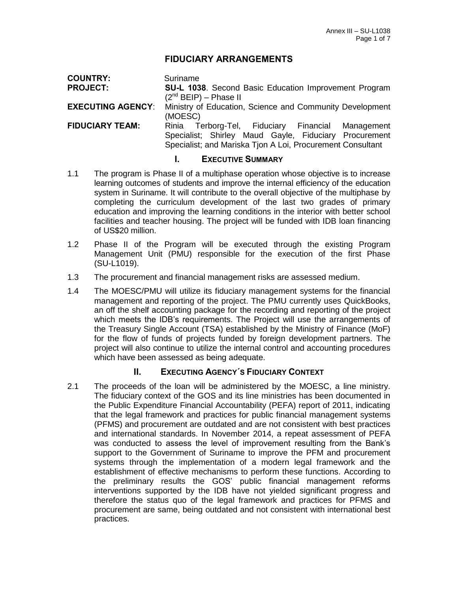# **FIDUCIARY ARRANGEMENTS**

| <b>COUNTRY:</b>          | Suriname                                                                                                                                                                 |  |  |
|--------------------------|--------------------------------------------------------------------------------------------------------------------------------------------------------------------------|--|--|
| <b>PROJECT:</b>          | SU-L 1038. Second Basic Education Improvement Program                                                                                                                    |  |  |
|                          | $(2^{nd}$ BEIP) – Phase II                                                                                                                                               |  |  |
| <b>EXECUTING AGENCY:</b> | Ministry of Education, Science and Community Development<br>(MOESC)                                                                                                      |  |  |
| <b>FIDUCIARY TEAM:</b>   | Rinia Terborg-Tel, Fiduciary Financial Management<br>Specialist; Shirley Maud Gayle, Fiduciary Procurement<br>Specialist; and Mariska Tjon A Loi, Procurement Consultant |  |  |
|                          | <b>EXECUTIVE SUMMARY</b>                                                                                                                                                 |  |  |

- 1.1 The program is Phase II of a multiphase operation whose objective is to increase learning outcomes of students and improve the internal efficiency of the education system in Suriname. It will contribute to the overall objective of the multiphase by completing the curriculum development of the last two grades of primary education and improving the learning conditions in the interior with better school facilities and teacher housing. The project will be funded with IDB loan financing of US\$20 million.
- 1.2 Phase II of the Program will be executed through the existing Program Management Unit (PMU) responsible for the execution of the first Phase (SU-L1019).
- 1.3 The procurement and financial management risks are assessed medium.
- 1.4 The MOESC/PMU will utilize its fiduciary management systems for the financial management and reporting of the project. The PMU currently uses QuickBooks, an off the shelf accounting package for the recording and reporting of the project which meets the IDB's requirements. The Project will use the arrangements of the Treasury Single Account (TSA) established by the Ministry of Finance (MoF) for the flow of funds of projects funded by foreign development partners. The project will also continue to utilize the internal control and accounting procedures which have been assessed as being adequate.

### **II. EXECUTING AGENCY´S FIDUCIARY CONTEXT**

2.1 The proceeds of the loan will be administered by the MOESC, a line ministry. The fiduciary context of the GOS and its line ministries has been documented in the Public Expenditure Financial Accountability (PEFA) report of 2011, indicating that the legal framework and practices for public financial management systems (PFMS) and procurement are outdated and are not consistent with best practices and international standards. In November 2014, a repeat assessment of PEFA was conducted to assess the level of improvement resulting from the Bank's support to the Government of Suriname to improve the PFM and procurement systems through the implementation of a modern legal framework and the establishment of effective mechanisms to perform these functions. According to the preliminary results the GOS' public financial management reforms interventions supported by the IDB have not yielded significant progress and therefore the status quo of the legal framework and practices for PFMS and procurement are same, being outdated and not consistent with international best practices.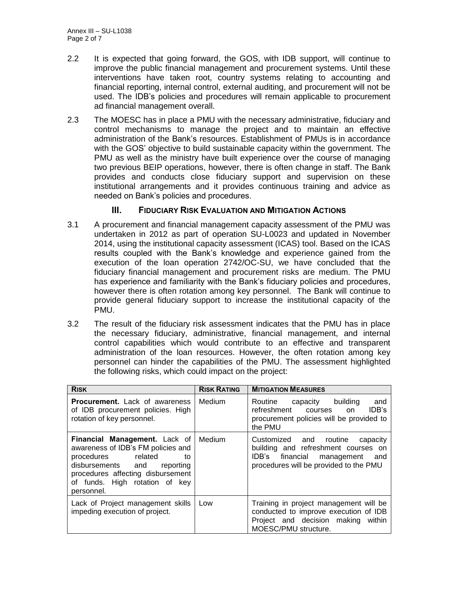- 2.2 It is expected that going forward, the GOS, with IDB support, will continue to improve the public financial management and procurement systems. Until these interventions have taken root, country systems relating to accounting and financial reporting, internal control, external auditing, and procurement will not be used. The IDB's policies and procedures will remain applicable to procurement ad financial management overall.
- 2.3 The MOESC has in place a PMU with the necessary administrative, fiduciary and control mechanisms to manage the project and to maintain an effective administration of the Bank's resources. Establishment of PMUs is in accordance with the GOS' objective to build sustainable capacity within the government. The PMU as well as the ministry have built experience over the course of managing two previous BEIP operations, however, there is often change in staff. The Bank provides and conducts close fiduciary support and supervision on these institutional arrangements and it provides continuous training and advice as needed on Bank's policies and procedures.

# **III. FIDUCIARY RISK EVALUATION AND MITIGATION ACTIONS**

- 3.1 A procurement and financial management capacity assessment of the PMU was undertaken in 2012 as part of operation SU-L0023 and updated in November 2014, using the institutional capacity assessment (ICAS) tool. Based on the ICAS results coupled with the Bank's knowledge and experience gained from the execution of the loan operation 2742/OC-SU, we have concluded that the fiduciary financial management and procurement risks are medium. The PMU has experience and familiarity with the Bank's fiduciary policies and procedures, however there is often rotation among key personnel. The Bank will continue to provide general fiduciary support to increase the institutional capacity of the PMU.
- 3.2 The result of the fiduciary risk assessment indicates that the PMU has in place the necessary fiduciary, administrative, financial management, and internal control capabilities which would contribute to an effective and transparent administration of the loan resources. However, the often rotation among key personnel can hinder the capabilities of the PMU. The assessment highlighted the following risks, which could impact on the project:

| <b>RISK</b>                                                                                                                                                                                                            | <b>RISK RATING</b> | <b>MITIGATION MEASURES</b>                                                                                                                               |
|------------------------------------------------------------------------------------------------------------------------------------------------------------------------------------------------------------------------|--------------------|----------------------------------------------------------------------------------------------------------------------------------------------------------|
| <b>Procurement.</b> Lack of awareness<br>of IDB procurement policies. High<br>rotation of key personnel.                                                                                                               | Medium             | Routine capacity building<br>and<br>refreshment courses<br>IDB's<br>on<br>procurement policies will be provided to<br>the PMU                            |
| Financial Management. Lack of<br>awareness of IDB's FM policies and<br>procedures related<br>tο<br>disbursements and<br>reporting<br>procedures affecting disbursement<br>of funds. High rotation of key<br>personnel. | Medium             | Customized and routine<br>capacity<br>building and refreshment courses on<br>IDB's financial management<br>and<br>procedures will be provided to the PMU |
| Lack of Project management skills<br>impeding execution of project.                                                                                                                                                    | Low                | Training in project management will be<br>conducted to improve execution of IDB<br>Project and decision making<br>within<br>MOESC/PMU structure.         |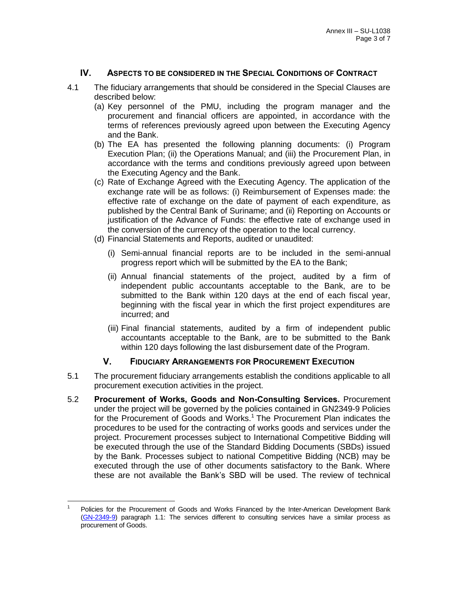# **IV. ASPECTS TO BE CONSIDERED IN THE SPECIAL CONDITIONS OF CONTRACT**

- 4.1 The fiduciary arrangements that should be considered in the Special Clauses are described below:
	- (a) Key personnel of the PMU, including the program manager and the procurement and financial officers are appointed, in accordance with the terms of references previously agreed upon between the Executing Agency and the Bank.
	- (b) The EA has presented the following planning documents: (i) Program Execution Plan; (ii) the Operations Manual; and (iii) the Procurement Plan, in accordance with the terms and conditions previously agreed upon between the Executing Agency and the Bank.
	- (c) Rate of Exchange Agreed with the Executing Agency. The application of the exchange rate will be as follows: (i) Reimbursement of Expenses made: the effective rate of exchange on the date of payment of each expenditure, as published by the Central Bank of Suriname; and (ii) Reporting on Accounts or justification of the Advance of Funds: the effective rate of exchange used in the conversion of the currency of the operation to the local currency.
	- (d) Financial Statements and Reports, audited or unaudited:
		- (i) Semi-annual financial reports are to be included in the semi-annual progress report which will be submitted by the EA to the Bank;
		- (ii) Annual financial statements of the project, audited by a firm of independent public accountants acceptable to the Bank, are to be submitted to the Bank within 120 days at the end of each fiscal year, beginning with the fiscal year in which the first project expenditures are incurred; and
		- (iii) Final financial statements, audited by a firm of independent public accountants acceptable to the Bank, are to be submitted to the Bank within 120 days following the last disbursement date of the Program.

## **V. FIDUCIARY ARRANGEMENTS FOR PROCUREMENT EXECUTION**

- 5.1 The procurement fiduciary arrangements establish the conditions applicable to all procurement execution activities in the project.
- 5.2 **Procurement of Works, Goods and Non-Consulting Services.** Procurement under the project will be governed by the policies contained in GN2349-9 Policies for the Procurement of Goods and Works.<sup>1</sup> The Procurement Plan indicates the procedures to be used for the contracting of works goods and services under the project. Procurement processes subject to International Competitive Bidding will be executed through the use of the Standard Bidding Documents (SBDs) issued by the Bank. Processes subject to national Competitive Bidding (NCB) may be executed through the use of other documents satisfactory to the Bank. Where these are not available the Bank's SBD will be used. The review of technical

 $\overline{a}$ 1 Policies for the Procurement of Goods and Works Financed by the Inter-American Development Bank [\(GN-2349-9\)](http://idbdocs.iadb.org/wsdocs/getdocument.aspx?DOCNUM=774392) paragraph 1.1: The services different to consulting services have a similar process as procurement of Goods.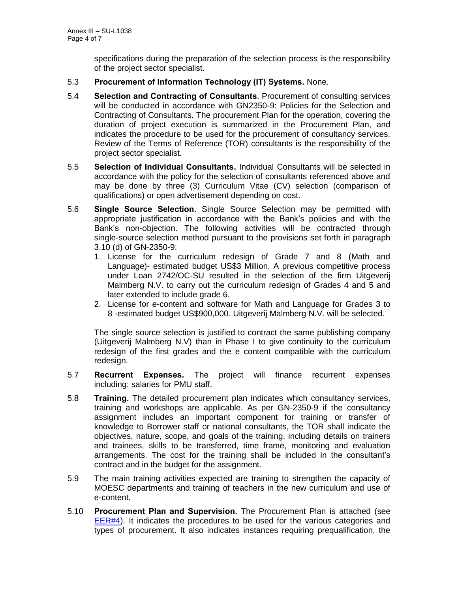specifications during the preparation of the selection process is the responsibility of the project sector specialist.

- 5.3 **Procurement of Information Technology (IT) Systems.** None.
- 5.4 **Selection and Contracting of Consultants**. Procurement of consulting services will be conducted in accordance with GN2350-9: Policies for the Selection and Contracting of Consultants. The procurement Plan for the operation, covering the duration of project execution is summarized in the Procurement Plan, and indicates the procedure to be used for the procurement of consultancy services. Review of the Terms of Reference (TOR) consultants is the responsibility of the project sector specialist.
- 5.5 **Selection of Individual Consultants.** Individual Consultants will be selected in accordance with the policy for the selection of consultants referenced above and may be done by three (3) Curriculum Vitae (CV) selection (comparison of qualifications) or open advertisement depending on cost.
- 5.6 **Single Source Selection.** Single Source Selection may be permitted with appropriate justification in accordance with the Bank's policies and with the Bank's non-objection. The following activities will be contracted through single-source selection method pursuant to the provisions set forth in paragraph 3.10 (d) of GN-2350-9:
	- 1. License for the curriculum redesign of Grade 7 and 8 (Math and Language)- estimated budget US\$3 Million. A previous competitive process under Loan 2742/OC-SU resulted in the selection of the firm Uitgeverij Malmberg N.V. to carry out the curriculum redesign of Grades 4 and 5 and later extended to include grade 6.
	- 2. License for e-content and software for Math and Language for Grades 3 to 8 -estimated budget US\$900,000. Uitgeverij Malmberg N.V. will be selected.

The single source selection is justified to contract the same publishing company (Uitgeverij Malmberg N.V) than in Phase I to give continuity to the curriculum redesign of the first grades and the e content compatible with the curriculum redesign.

- 5.7 **Recurrent Expenses.** The project will finance recurrent expenses including: salaries for PMU staff.
- 5.8 **Training.** The detailed procurement plan indicates which consultancy services, training and workshops are applicable. As per GN-2350-9 if the consultancy assignment includes an important component for training or transfer of knowledge to Borrower staff or national consultants, the TOR shall indicate the objectives, nature, scope, and goals of the training, including details on trainers and trainees, skills to be transferred, time frame, monitoring and evaluation arrangements. The cost for the training shall be included in the consultant's contract and in the budget for the assignment.
- 5.9 The main training activities expected are training to strengthen the capacity of MOESC departments and training of teachers in the new curriculum and use of e-content.
- 5.10 **Procurement Plan and Supervision.** The Procurement Plan is attached (see [EER#4\)](http://idbdocs.iadb.org/wsdocs/getDocument.aspx?DOCNUM=39883939). It indicates the procedures to be used for the various categories and types of procurement. It also indicates instances requiring prequalification, the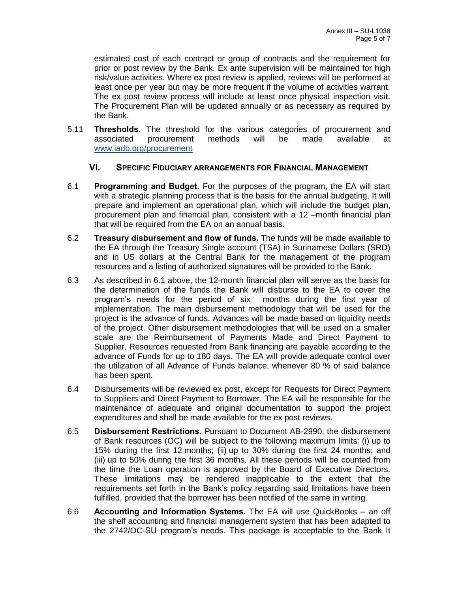estimated cost of each contract or group of contracts and the requirement for prior or post review by the Bank. Ex ante supervision will be maintained for high risk/value activities. Where ex post review is applied, reviews will be performed at least once per year but may be more frequent if the volume of activities warrant. The ex post review process will include at least once physical inspection visit. The Procurement Plan will be updated annually or as necessary as required by the Bank.

5.11 **Thresholds.** The threshold for the various categories of procurement and associated procurement methods will be made available at [www.iadb.org/procurement](http://www.iadb.org/procurement)

#### **VI. SPECIFIC FIDUCIARY ARRANGEMENTS FOR FINANCIAL MANAGEMENT**

- 6.1 **Programming and Budget.** For the purposes of the program, the EA will start with a strategic planning process that is the basis for the annual budgeting. It will prepare and implement an operational plan, which will include the budget plan, procurement plan and financial plan, consistent with a 12 –month financial plan that will be required from the EA on an annual basis.
- 6.2 **Treasury disbursement and flow of funds.** The funds will be made available to the EA through the Treasury Single account (TSA) in Surinamese Dollars (SRD) and in US dollars at the Central Bank for the management of the program resources and a listing of authorized signatures will be provided to the Bank.
- 6.3 As described in 6.1 above, the 12-month financial plan will serve as the basis for the determination of the funds the Bank will disburse to the EA to cover the program's needs for the period of six months during the first year of implementation. The main disbursement methodology that will be used for the project is the advance of funds. Advances will be made based on liquidity needs of the project. Other disbursement methodologies that will be used on a smaller scale are the Reimbursement of Payments Made and Direct Payment to Supplier. Resources requested from Bank financing are payable according to the advance of Funds for up to 180 days. The EA will provide adequate control over the utilization of all Advance of Funds balance, whenever 80 % of said balance has been spent.
- 6.4 Disbursements will be reviewed ex post, except for Requests for Direct Payment to Suppliers and Direct Payment to Borrower. The EA will be responsible for the maintenance of adequate and original documentation to support the project expenditures and shall be made available for the ex post reviews.
- 6.5 **Disbursement Restrictions.** Pursuant to Document AB-2990, the disbursement of Bank resources (OC) will be subject to the following maximum limits: (i) up to 15% during the first 12 months; (ii) up to 30% during the first 24 months; and (iii) up to 50% during the first 36 months. All these periods will be counted from the time the Loan operation is approved by the Board of Executive Directors. These limitations may be rendered inapplicable to the extent that the requirements set forth in the Bank's policy regarding said limitations have been fulfilled, provided that the borrower has been notified of the same in writing.
- 6.6 **Accounting and Information Systems.** The EA will use QuickBooks an off the shelf accounting and financial management system that has been adapted to the 2742/OC-SU program's needs. This package is acceptable to the Bank It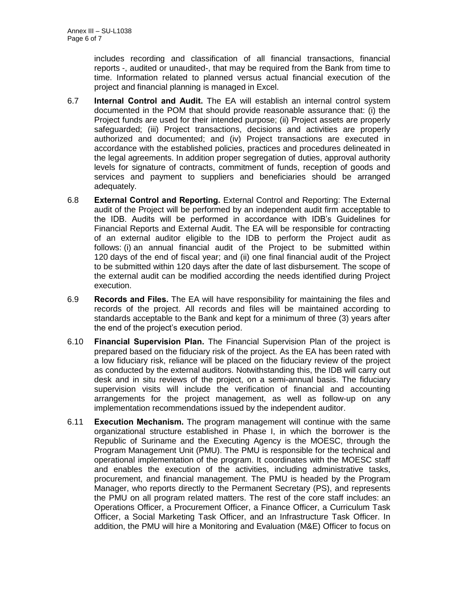includes recording and classification of all financial transactions, financial reports -, audited or unaudited-, that may be required from the Bank from time to time. Information related to planned versus actual financial execution of the project and financial planning is managed in Excel.

- 6.7 **Internal Control and Audit.** The EA will establish an internal control system documented in the POM that should provide reasonable assurance that: (i) the Project funds are used for their intended purpose; (ii) Project assets are properly safeguarded; (iii) Project transactions, decisions and activities are properly authorized and documented; and (iv) Project transactions are executed in accordance with the established policies, practices and procedures delineated in the legal agreements. In addition proper segregation of duties, approval authority levels for signature of contracts, commitment of funds, reception of goods and services and payment to suppliers and beneficiaries should be arranged adequately.
- 6.8 **External Control and Reporting.** External Control and Reporting: The External audit of the Project will be performed by an independent audit firm acceptable to the IDB. Audits will be performed in accordance with IDB's Guidelines for Financial Reports and External Audit. The EA will be responsible for contracting of an external auditor eligible to the IDB to perform the Project audit as follows: (i) an annual financial audit of the Project to be submitted within 120 days of the end of fiscal year; and (ii) one final financial audit of the Project to be submitted within 120 days after the date of last disbursement. The scope of the external audit can be modified according the needs identified during Project execution.
- 6.9 **Records and Files.** The EA will have responsibility for maintaining the files and records of the project. All records and files will be maintained according to standards acceptable to the Bank and kept for a minimum of three (3) years after the end of the project's execution period.
- 6.10 **Financial Supervision Plan.** The Financial Supervision Plan of the project is prepared based on the fiduciary risk of the project. As the EA has been rated with a low fiduciary risk, reliance will be placed on the fiduciary review of the project as conducted by the external auditors. Notwithstanding this, the IDB will carry out desk and in situ reviews of the project, on a semi-annual basis. The fiduciary supervision visits will include the verification of financial and accounting arrangements for the project management, as well as follow-up on any implementation recommendations issued by the independent auditor.
- 6.11 **Execution Mechanism.** The program management will continue with the same organizational structure established in Phase I, in which the borrower is the Republic of Suriname and the Executing Agency is the MOESC, through the Program Management Unit (PMU). The PMU is responsible for the technical and operational implementation of the program. It coordinates with the MOESC staff and enables the execution of the activities, including administrative tasks, procurement, and financial management. The PMU is headed by the Program Manager, who reports directly to the Permanent Secretary (PS), and represents the PMU on all program related matters. The rest of the core staff includes: an Operations Officer, a Procurement Officer, a Finance Officer, a Curriculum Task Officer, a Social Marketing Task Officer, and an Infrastructure Task Officer. In addition, the PMU will hire a Monitoring and Evaluation (M&E) Officer to focus on